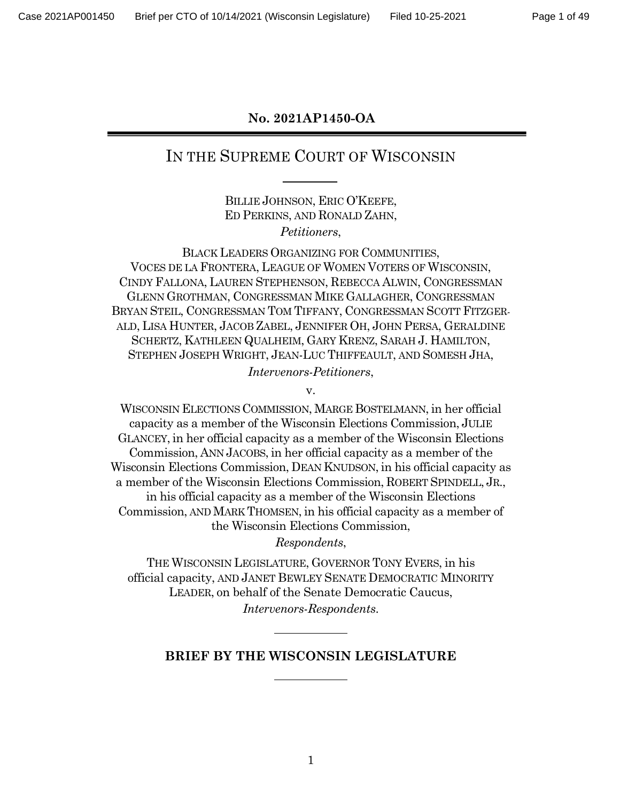### **No. 2021AP1450-OA**

# IN THE SUPREME COURT OF WISCONSIN

BILLIE JOHNSON, ERIC O'KEEFE, ED PERKINS, AND RONALD ZAHN, *Petitioners*,

BLACK LEADERS ORGANIZING FOR COMMUNITIES, VOCES DE LA FRONTERA, LEAGUE OF WOMEN VOTERS OF WISCONSIN, CINDY FALLONA, LAUREN STEPHENSON, REBECCA ALWIN, CONGRESSMAN GLENN GROTHMAN, CONGRESSMAN MIKE GALLAGHER, CONGRESSMAN BRYAN STEIL, CONGRESSMAN TOM TIFFANY, CONGRESSMAN SCOTT FITZGER-ALD, LISA HUNTER, JACOB ZABEL, JENNIFER OH, JOHN PERSA, GERALDINE SCHERTZ, KATHLEEN QUALHEIM, GARY KRENZ, SARAH J. HAMILTON, STEPHEN JOSEPH WRIGHT, JEAN-LUC THIFFEAULT, AND SOMESH JHA, *Intervenors-Petitioners*,

v.

WISCONSIN ELECTIONS COMMISSION, MARGE BOSTELMANN, in her official capacity as a member of the Wisconsin Elections Commission, JULIE GLANCEY, in her official capacity as a member of the Wisconsin Elections Commission, ANN JACOBS, in her official capacity as a member of the Wisconsin Elections Commission, DEAN KNUDSON, in his official capacity as a member of the Wisconsin Elections Commission, ROBERT SPINDELL, JR., in his official capacity as a member of the Wisconsin Elections Commission, AND MARK THOMSEN, in his official capacity as a member of the Wisconsin Elections Commission,

*Respondents*,

THE WISCONSIN LEGISLATURE, GOVERNOR TONY EVERS, in his official capacity, AND JANET BEWLEY SENATE DEMOCRATIC MINORITY LEADER, on behalf of the Senate Democratic Caucus, *Intervenors-Respondents*.

### **BRIEF BY THE WISCONSIN LEGISLATURE**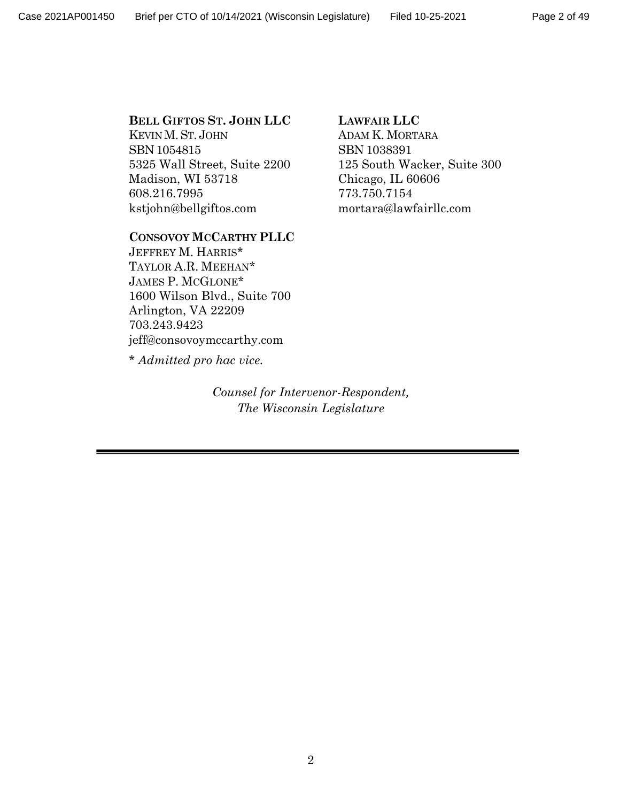#### **BELL GIFTOS ST. JOHN LLC**

KEVIN M.ST. JOHN SBN 1054815 5325 Wall Street, Suite 2200 Madison, WI 53718 608.216.7995 kstjohn@bellgiftos.com

#### **CONSOVOY MCCARTHY PLLC**

JEFFREY M. HARRIS\* TAYLOR A.R. MEEHAN\* JAMES P. MCGLONE\* 1600 Wilson Blvd., Suite 700 Arlington, VA 22209 703.243.9423 jeff@consovoymccarthy.com

\* *Admitted pro hac vice.*

*Counsel for Intervenor-Respondent, The Wisconsin Legislature*

#### **LAWFAIR LLC**

ADAM K. MORTARA SBN 1038391 125 South Wacker, Suite 300 Chicago, IL 60606 773.750.7154 mortara@lawfairllc.com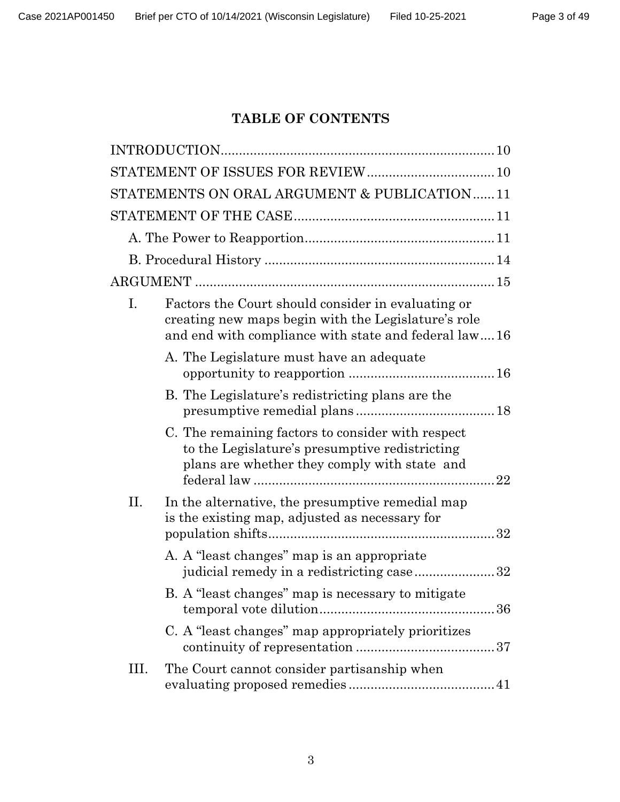## **TABLE OF CONTENTS**

|      | STATEMENTS ON ORAL ARGUMENT & PUBLICATION11                                                                                                                       |
|------|-------------------------------------------------------------------------------------------------------------------------------------------------------------------|
|      |                                                                                                                                                                   |
|      |                                                                                                                                                                   |
|      |                                                                                                                                                                   |
|      |                                                                                                                                                                   |
| Ι.   | Factors the Court should consider in evaluating or<br>creating new maps begin with the Legislature's role<br>and end with compliance with state and federal law16 |
|      | A. The Legislature must have an adequate                                                                                                                          |
|      | B. The Legislature's redistricting plans are the                                                                                                                  |
|      | C. The remaining factors to consider with respect<br>to the Legislature's presumptive redistricting<br>plans are whether they comply with state and               |
| Π.   | In the alternative, the presumptive remedial map<br>is the existing map, adjusted as necessary for                                                                |
|      | A. A "least changes" map is an appropriate<br>judicial remedy in a redistricting case32                                                                           |
|      | B. A "least changes" map is necessary to mitigate                                                                                                                 |
|      | C. A "least changes" map appropriately prioritizes                                                                                                                |
| III. | The Court cannot consider partisanship when                                                                                                                       |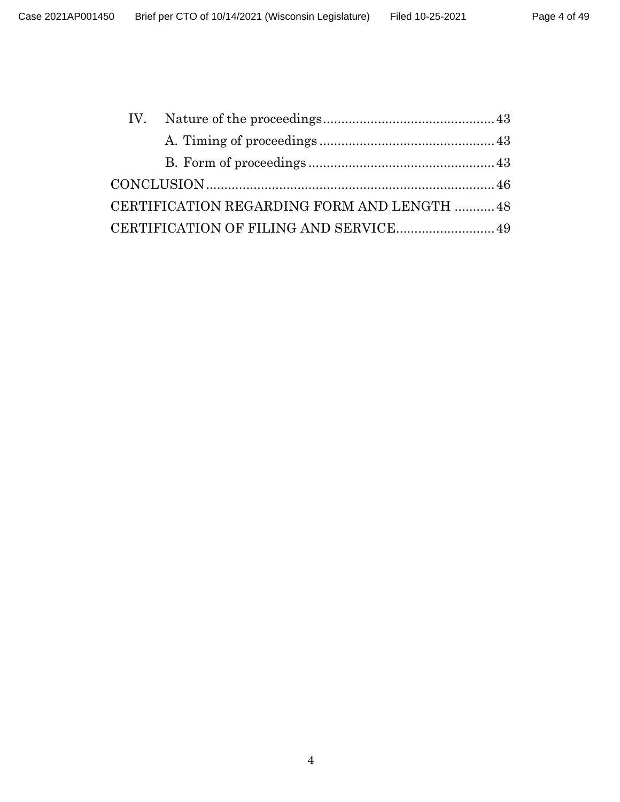| CERTIFICATION REGARDING FORM AND LENGTH  48 |  |
|---------------------------------------------|--|
| CERTIFICATION OF FILING AND SERVICE 49      |  |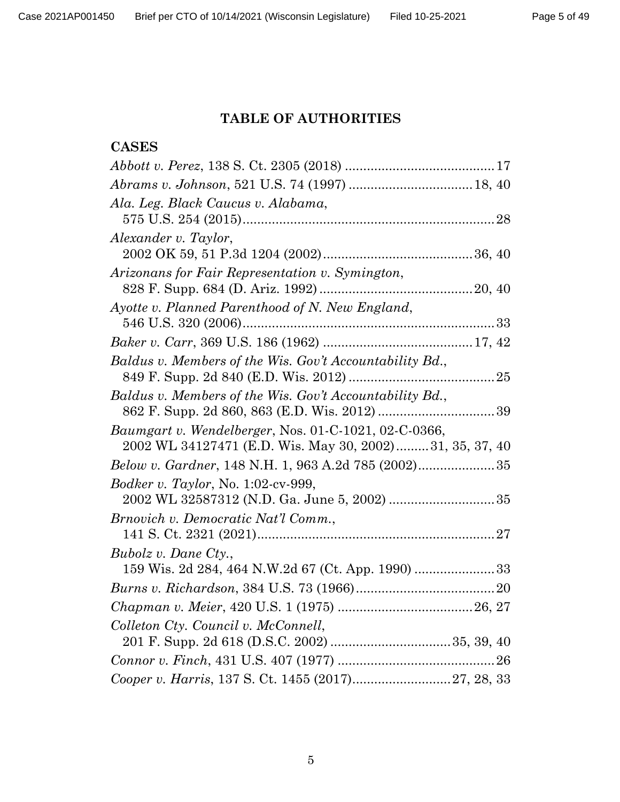## **TABLE OF AUTHORITIES**

## **CASES**

| Ala. Leg. Black Caucus v. Alabama,                                                                              |  |
|-----------------------------------------------------------------------------------------------------------------|--|
|                                                                                                                 |  |
| Alexander v. Taylor,                                                                                            |  |
|                                                                                                                 |  |
| Arizonans for Fair Representation v. Symington,                                                                 |  |
|                                                                                                                 |  |
| Ayotte v. Planned Parenthood of N. New England,                                                                 |  |
|                                                                                                                 |  |
|                                                                                                                 |  |
| Baldus v. Members of the Wis. Gov't Accountability Bd.,                                                         |  |
|                                                                                                                 |  |
| Baldus v. Members of the Wis. Gov't Accountability Bd.,                                                         |  |
|                                                                                                                 |  |
| Baumgart v. Wendelberger, Nos. 01-C-1021, 02-C-0366,<br>2002 WL 34127471 (E.D. Wis. May 30, 2002)31, 35, 37, 40 |  |
|                                                                                                                 |  |
| <i>Bodker v. Taylor</i> , No. 1:02-cv-999,                                                                      |  |
|                                                                                                                 |  |
| Brnovich v. Democratic Nat'l Comm.,                                                                             |  |
|                                                                                                                 |  |
| Bubolz v. Dane Cty.,                                                                                            |  |
|                                                                                                                 |  |
|                                                                                                                 |  |
|                                                                                                                 |  |
| Colleton Cty. Council v. McConnell,                                                                             |  |
|                                                                                                                 |  |
|                                                                                                                 |  |
|                                                                                                                 |  |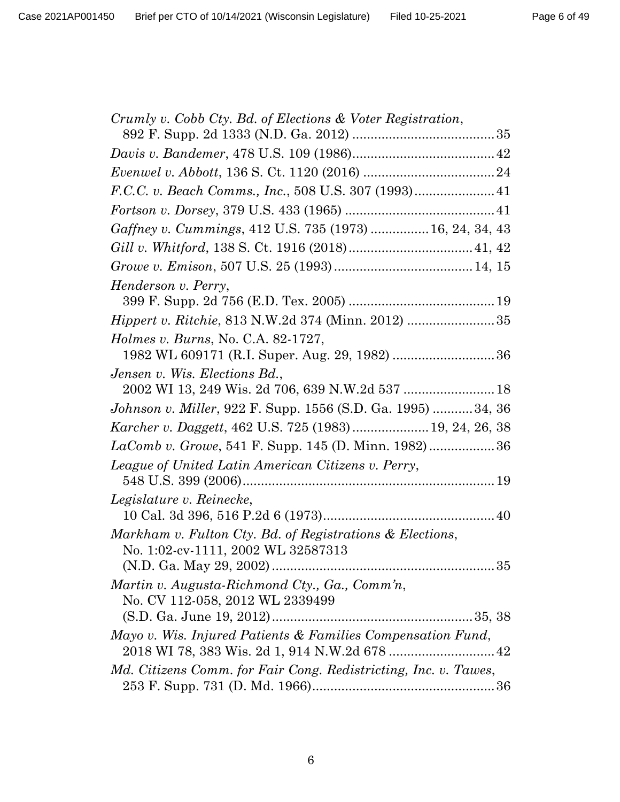| Crumly v. Cobb Cty. Bd. of Elections & Voter Registration,                       |
|----------------------------------------------------------------------------------|
|                                                                                  |
|                                                                                  |
|                                                                                  |
|                                                                                  |
|                                                                                  |
| Gaffney v. Cummings, 412 U.S. 735 (1973)  16, 24, 34, 43                         |
|                                                                                  |
|                                                                                  |
| Henderson v. Perry,                                                              |
|                                                                                  |
| <i>Hippert v. Ritchie, 813 N.W.2d 374 (Minn. 2012) </i> 35                       |
| <i>Holmes v. Burns, No. C.A. 82-1727,</i>                                        |
|                                                                                  |
| Jensen v. Wis. Elections Bd.,<br>2002 WI 13, 249 Wis. 2d 706, 639 N.W.2d 537  18 |
| Johnson v. Miller, 922 F. Supp. 1556 (S.D. Ga. 1995)  34, 36                     |
| Karcher v. Daggett, 462 U.S. 725 (1983) 19, 24, 26, 38                           |
| LaComb v. Growe, 541 F. Supp. 145 (D. Minn. 1982) 36                             |
| League of United Latin American Citizens v. Perry,                               |
|                                                                                  |
| Legislature v. Reinecke,                                                         |
|                                                                                  |
| Markham v. Fulton Cty. Bd. of Registrations & Elections,                         |
| No. 1:02-cv-1111, 2002 WL 32587313                                               |
|                                                                                  |
| Martin v. Augusta-Richmond Cty., Ga., Comm'n,                                    |
| No. CV 112-058, 2012 WL 2339499                                                  |
|                                                                                  |
| Mayo v. Wis. Injured Patients & Families Compensation Fund,                      |
| Md. Citizens Comm. for Fair Cong. Redistricting, Inc. v. Tawes,                  |
|                                                                                  |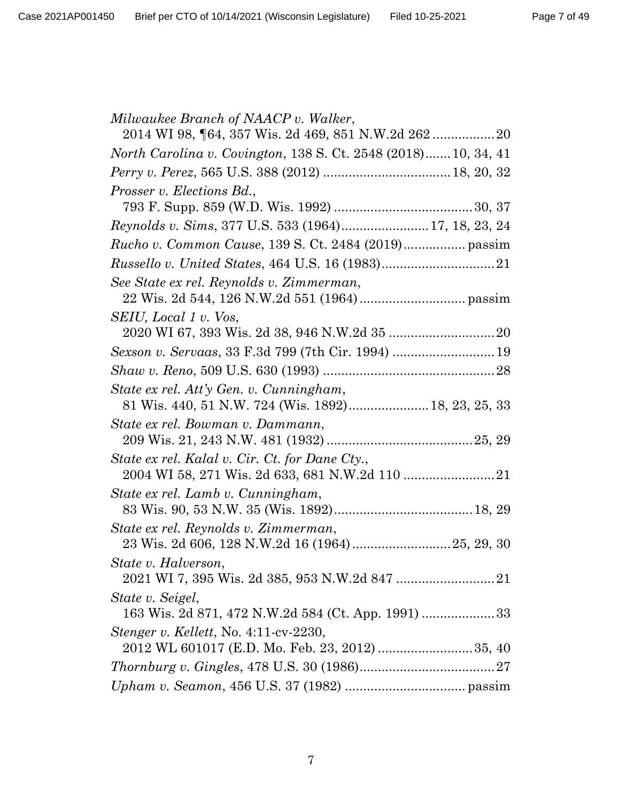| Milwaukee Branch of NAACP v. Walker,                                 |
|----------------------------------------------------------------------|
|                                                                      |
| <i>North Carolina v. Covington, 138 S. Ct. 2548 (2018)10, 34, 41</i> |
|                                                                      |
| Prosser v. Elections Bd.,                                            |
|                                                                      |
| Reynolds v. Sims, 377 U.S. 533 (1964) 17, 18, 23, 24                 |
|                                                                      |
| <i>Russello v. United States, 464 U.S. 16 (1983)</i> 21              |
| See State ex rel. Reynolds v. Zimmerman,                             |
|                                                                      |
| SEIU, Local 1 v. Vos,                                                |
|                                                                      |
|                                                                      |
|                                                                      |
| State ex rel. Att'y Gen. v. Cunningham,                              |
| 81 Wis. 440, 51 N.W. 724 (Wis. 1892) 18, 23, 25, 33                  |
| State ex rel. Bowman v. Dammann,                                     |
|                                                                      |
| State ex rel. Kalal v. Cir. Ct. for Dane Cty.,                       |
| State ex rel. Lamb v. Cunningham,                                    |
|                                                                      |
| State ex rel. Reynolds v. Zimmerman,                                 |
|                                                                      |
| State v. Halverson,                                                  |
|                                                                      |
| State v. Seigel,                                                     |
| <i>Stenger v. Kellett, No. 4:11-cv-2230,</i>                         |
|                                                                      |
|                                                                      |
|                                                                      |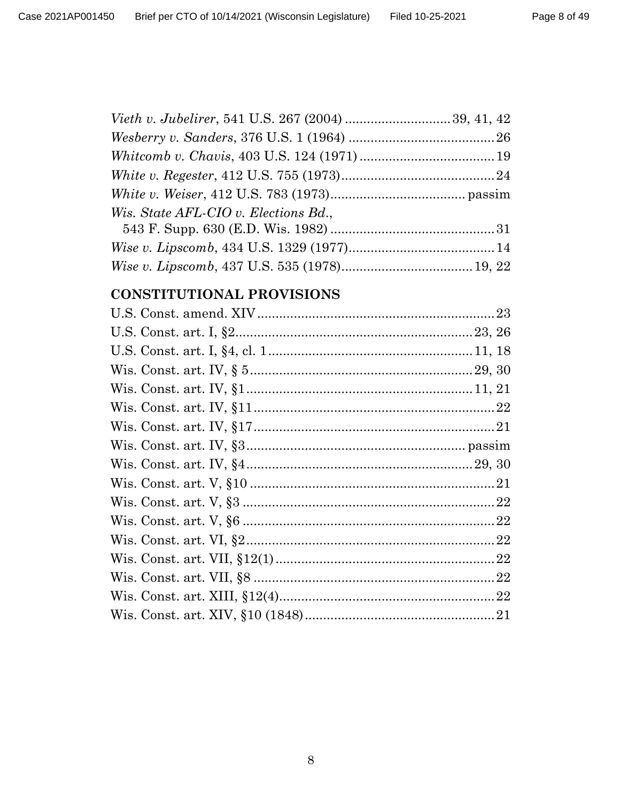| Wis. State AFL-CIO v. Elections Bd., |  |
|--------------------------------------|--|
|                                      |  |
|                                      |  |
|                                      |  |

## CONSTITUTIONAL PROVISIONS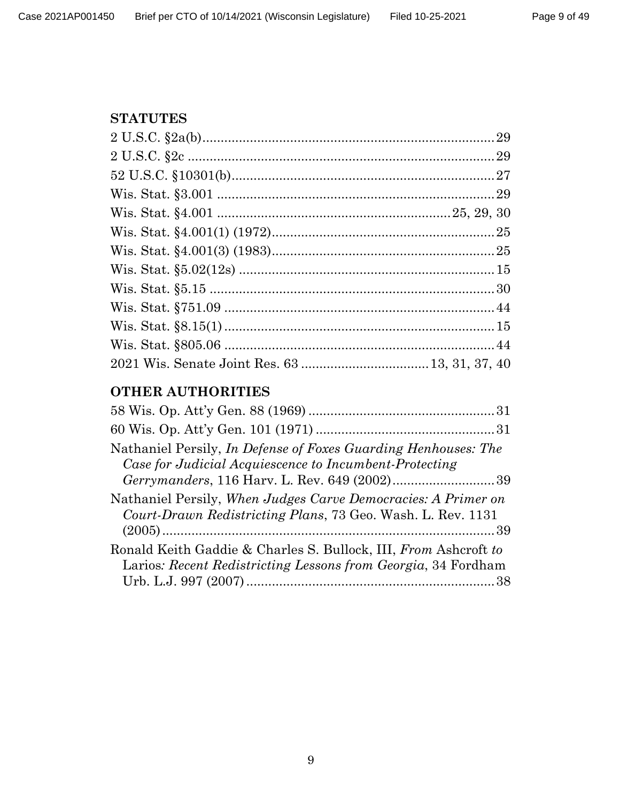## **STATUTES**

# **OTHER AUTHORITIES**

| Nathaniel Persily, In Defense of Foxes Guarding Henhouses: The<br>Case for Judicial Acquiescence to Incumbent-Protecting     |  |
|------------------------------------------------------------------------------------------------------------------------------|--|
|                                                                                                                              |  |
| Nathaniel Persily, When Judges Carve Democracies: A Primer on<br>Court-Drawn Redistricting Plans, 73 Geo. Wash. L. Rev. 1131 |  |
|                                                                                                                              |  |
| Ronald Keith Gaddie & Charles S. Bullock, III, From Ashcroft to                                                              |  |
| Larios: Recent Redistricting Lessons from Georgia, 34 Fordham                                                                |  |
|                                                                                                                              |  |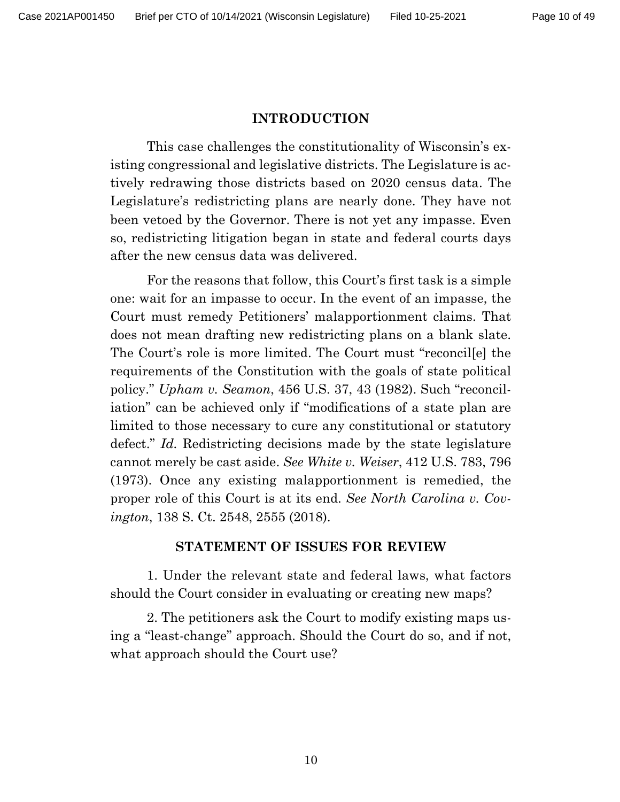## **INTRODUCTION**

This case challenges the constitutionality of Wisconsin's existing congressional and legislative districts. The Legislature is actively redrawing those districts based on 2020 census data. The Legislature's redistricting plans are nearly done. They have not been vetoed by the Governor. There is not yet any impasse. Even so, redistricting litigation began in state and federal courts days after the new census data was delivered.

For the reasons that follow, this Court's first task is a simple one: wait for an impasse to occur. In the event of an impasse, the Court must remedy Petitioners' malapportionment claims. That does not mean drafting new redistricting plans on a blank slate. The Court's role is more limited. The Court must "reconcil[e] the requirements of the Constitution with the goals of state political policy." *Upham v. Seamon*, 456 U.S. 37, 43 (1982). Such "reconciliation" can be achieved only if "modifications of a state plan are limited to those necessary to cure any constitutional or statutory defect." *Id.* Redistricting decisions made by the state legislature cannot merely be cast aside. *See White v. Weiser*, 412 U.S. 783, 796 (1973). Once any existing malapportionment is remedied, the proper role of this Court is at its end. *See North Carolina v. Covington*, 138 S. Ct. 2548, 2555 (2018).

### **STATEMENT OF ISSUES FOR REVIEW**

1. Under the relevant state and federal laws, what factors should the Court consider in evaluating or creating new maps?

2. The petitioners ask the Court to modify existing maps using a "least-change" approach. Should the Court do so, and if not, what approach should the Court use?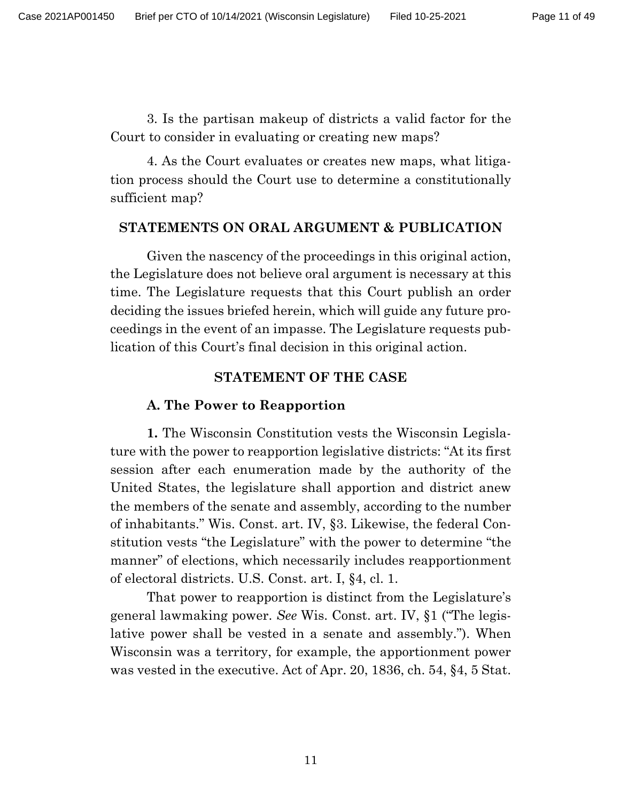3. Is the partisan makeup of districts a valid factor for the Court to consider in evaluating or creating new maps?

4. As the Court evaluates or creates new maps, what litigation process should the Court use to determine a constitutionally sufficient map?

#### **STATEMENTS ON ORAL ARGUMENT & PUBLICATION**

Given the nascency of the proceedings in this original action, the Legislature does not believe oral argument is necessary at this time. The Legislature requests that this Court publish an order deciding the issues briefed herein, which will guide any future proceedings in the event of an impasse. The Legislature requests publication of this Court's final decision in this original action.

### **STATEMENT OF THE CASE**

### **A. The Power to Reapportion**

**1.** The Wisconsin Constitution vests the Wisconsin Legislature with the power to reapportion legislative districts: "At its first session after each enumeration made by the authority of the United States, the legislature shall apportion and district anew the members of the senate and assembly, according to the number of inhabitants." Wis. Const. art. IV, §3. Likewise, the federal Constitution vests "the Legislature" with the power to determine "the manner" of elections, which necessarily includes reapportionment of electoral districts. U.S. Const. art. I, §4, cl. 1.

That power to reapportion is distinct from the Legislature's general lawmaking power. *See* Wis. Const. art. IV, §1 ("The legislative power shall be vested in a senate and assembly."). When Wisconsin was a territory, for example, the apportionment power was vested in the executive. Act of Apr. 20, 1836, ch. 54, §4, 5 Stat.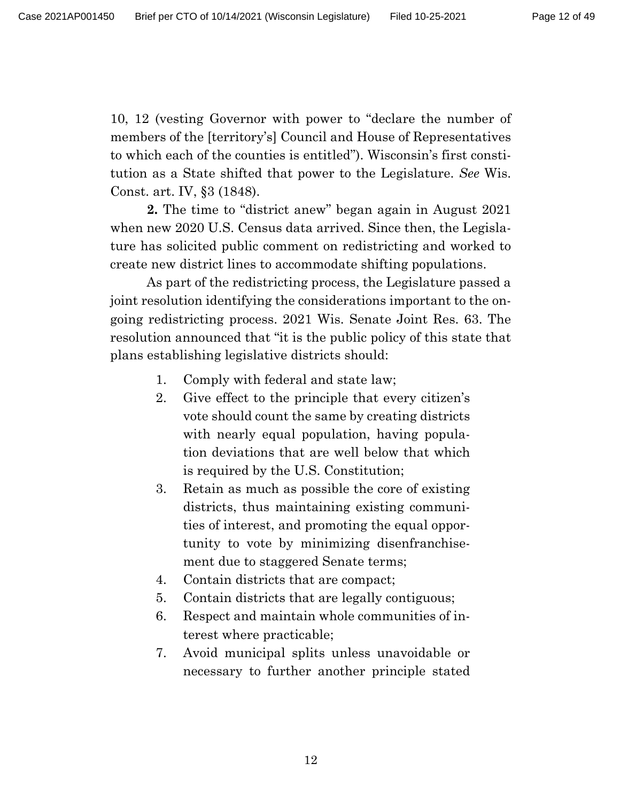10, 12 (vesting Governor with power to "declare the number of members of the [territory's] Council and House of Representatives to which each of the counties is entitled"). Wisconsin's first constitution as a State shifted that power to the Legislature. *See* Wis. Const. art. IV, §3 (1848).

**2.** The time to "district anew" began again in August 2021 when new 2020 U.S. Census data arrived. Since then, the Legislature has solicited public comment on redistricting and worked to create new district lines to accommodate shifting populations.

As part of the redistricting process, the Legislature passed a joint resolution identifying the considerations important to the ongoing redistricting process. 2021 Wis. Senate Joint Res. 63. The resolution announced that "it is the public policy of this state that plans establishing legislative districts should:

- 1. Comply with federal and state law;
- 2. Give effect to the principle that every citizen's vote should count the same by creating districts with nearly equal population, having population deviations that are well below that which is required by the U.S. Constitution;
- 3. Retain as much as possible the core of existing districts, thus maintaining existing communities of interest, and promoting the equal opportunity to vote by minimizing disenfranchisement due to staggered Senate terms;
- 4. Contain districts that are compact;
- 5. Contain districts that are legally contiguous;
- 6. Respect and maintain whole communities of interest where practicable;
- 7. Avoid municipal splits unless unavoidable or necessary to further another principle stated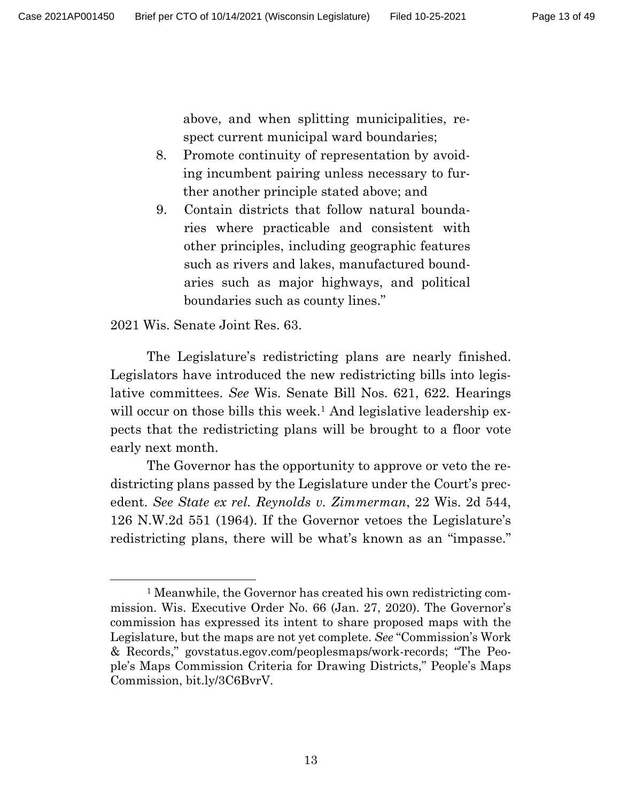above, and when splitting municipalities, respect current municipal ward boundaries;

- 8. Promote continuity of representation by avoiding incumbent pairing unless necessary to further another principle stated above; and
- 9. Contain districts that follow natural boundaries where practicable and consistent with other principles, including geographic features such as rivers and lakes, manufactured boundaries such as major highways, and political boundaries such as county lines."

2021 Wis. Senate Joint Res. 63.

The Legislature's redistricting plans are nearly finished. Legislators have introduced the new redistricting bills into legislative committees. *See* Wis. Senate Bill Nos. 621, 622. Hearings will occur on those bills this week.<sup>1</sup> And legislative leadership expects that the redistricting plans will be brought to a floor vote early next month.

The Governor has the opportunity to approve or veto the redistricting plans passed by the Legislature under the Court's precedent. *See State ex rel. Reynolds v. Zimmerman*, 22 Wis. 2d 544, 126 N.W.2d 551 (1964). If the Governor vetoes the Legislature's redistricting plans, there will be what's known as an "impasse."

<sup>1</sup> Meanwhile, the Governor has created his own redistricting commission. Wis. Executive Order No. 66 (Jan. 27, 2020). The Governor's commission has expressed its intent to share proposed maps with the Legislature, but the maps are not yet complete. *See* "Commission's Work & Records," govstatus.egov.com/peoplesmaps/work-records; "The People's Maps Commission Criteria for Drawing Districts," People's Maps Commission, bit.ly/3C6BvrV.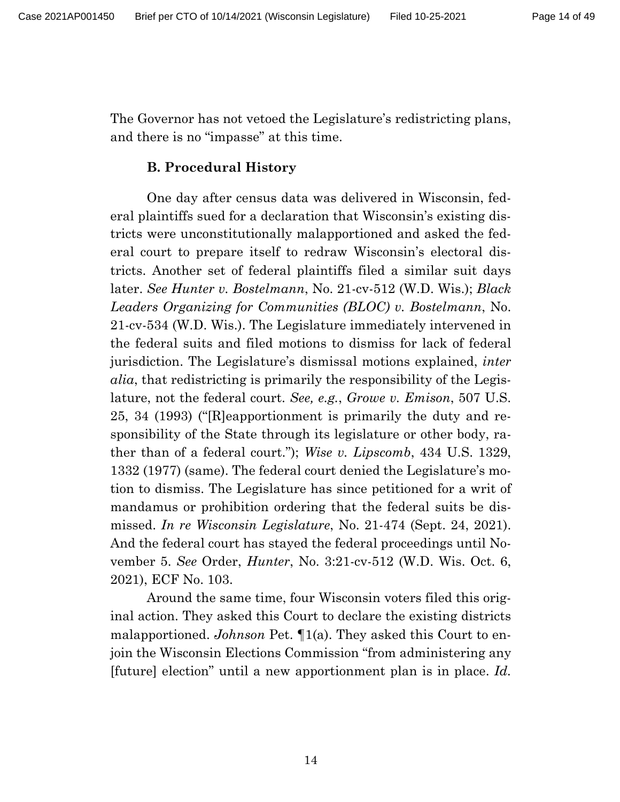The Governor has not vetoed the Legislature's redistricting plans, and there is no "impasse" at this time.

#### **B. Procedural History**

One day after census data was delivered in Wisconsin, federal plaintiffs sued for a declaration that Wisconsin's existing districts were unconstitutionally malapportioned and asked the federal court to prepare itself to redraw Wisconsin's electoral districts. Another set of federal plaintiffs filed a similar suit days later. *See Hunter v. Bostelmann*, No. 21-cv-512 (W.D. Wis.); *Black Leaders Organizing for Communities (BLOC) v. Bostelmann*, No. 21-cv-534 (W.D. Wis.). The Legislature immediately intervened in the federal suits and filed motions to dismiss for lack of federal jurisdiction. The Legislature's dismissal motions explained, *inter alia*, that redistricting is primarily the responsibility of the Legislature, not the federal court. *See, e.g.*, *Growe v. Emison*, 507 U.S. 25, 34 (1993) ("[R]eapportionment is primarily the duty and responsibility of the State through its legislature or other body, rather than of a federal court."); *Wise v. Lipscomb*, 434 U.S. 1329, 1332 (1977) (same). The federal court denied the Legislature's motion to dismiss. The Legislature has since petitioned for a writ of mandamus or prohibition ordering that the federal suits be dismissed. *In re Wisconsin Legislature*, No. 21-474 (Sept. 24, 2021). And the federal court has stayed the federal proceedings until November 5. *See* Order, *Hunter*, No. 3:21-cv-512 (W.D. Wis. Oct. 6, 2021), ECF No. 103.

Around the same time, four Wisconsin voters filed this original action. They asked this Court to declare the existing districts malapportioned. *Johnson* Pet. ¶1(a). They asked this Court to enjoin the Wisconsin Elections Commission "from administering any [future] election" until a new apportionment plan is in place. *Id.*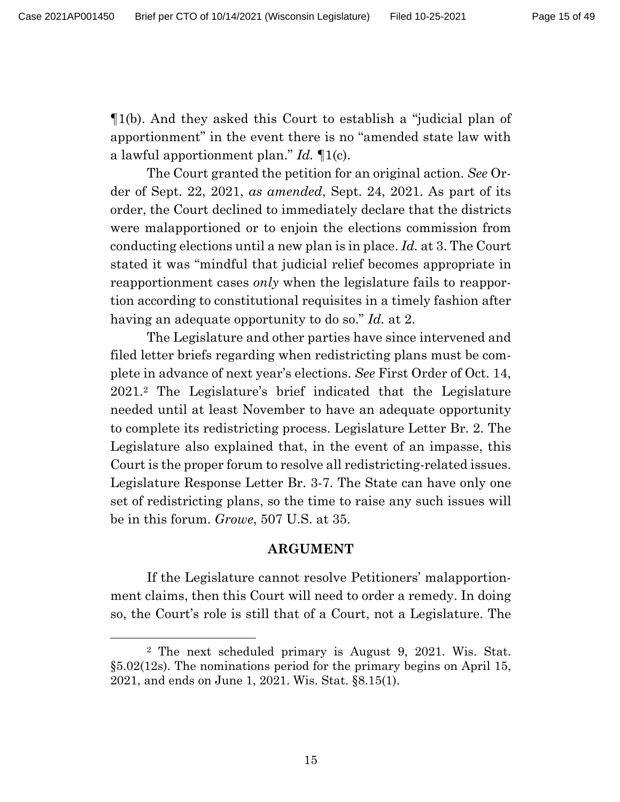¶1(b). And they asked this Court to establish a "judicial plan of apportionment" in the event there is no "amended state law with a lawful apportionment plan." *Id.* ¶1(c).

The Court granted the petition for an original action. *See* Order of Sept. 22, 2021, *as amended*, Sept. 24, 2021. As part of its order, the Court declined to immediately declare that the districts were malapportioned or to enjoin the elections commission from conducting elections until a new plan is in place. *Id.* at 3. The Court stated it was "mindful that judicial relief becomes appropriate in reapportionment cases *only* when the legislature fails to reapportion according to constitutional requisites in a timely fashion after having an adequate opportunity to do so." *Id.* at 2.

The Legislature and other parties have since intervened and filed letter briefs regarding when redistricting plans must be complete in advance of next year's elections. *See* First Order of Oct. 14, 2021.<sup>2</sup> The Legislature's brief indicated that the Legislature needed until at least November to have an adequate opportunity to complete its redistricting process. Legislature Letter Br. 2. The Legislature also explained that, in the event of an impasse, this Court is the proper forum to resolve all redistricting-related issues. Legislature Response Letter Br. 3-7. The State can have only one set of redistricting plans, so the time to raise any such issues will be in this forum. *Growe*, 507 U.S. at 35.

#### **ARGUMENT**

If the Legislature cannot resolve Petitioners' malapportionment claims, then this Court will need to order a remedy. In doing so, the Court's role is still that of a Court, not a Legislature. The

<sup>2</sup> The next scheduled primary is August 9, 2021. Wis. Stat. §5.02(12s). The nominations period for the primary begins on April 15, 2021, and ends on June 1, 2021. Wis. Stat. §8.15(1).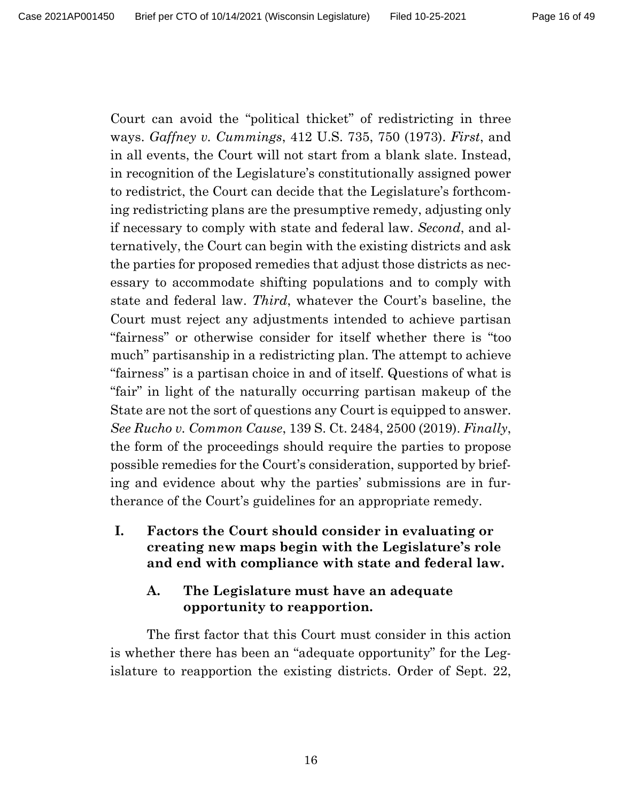Court can avoid the "political thicket" of redistricting in three ways. *Gaffney v. Cummings*, 412 U.S. 735, 750 (1973). *First*, and in all events, the Court will not start from a blank slate. Instead, in recognition of the Legislature's constitutionally assigned power to redistrict, the Court can decide that the Legislature's forthcoming redistricting plans are the presumptive remedy, adjusting only if necessary to comply with state and federal law. *Second*, and alternatively, the Court can begin with the existing districts and ask the parties for proposed remedies that adjust those districts as necessary to accommodate shifting populations and to comply with state and federal law. *Third*, whatever the Court's baseline, the Court must reject any adjustments intended to achieve partisan "fairness" or otherwise consider for itself whether there is "too much" partisanship in a redistricting plan. The attempt to achieve "fairness" is a partisan choice in and of itself. Questions of what is "fair" in light of the naturally occurring partisan makeup of the State are not the sort of questions any Court is equipped to answer. *See Rucho v. Common Cause*, 139 S. Ct. 2484, 2500 (2019). *Finally*, the form of the proceedings should require the parties to propose possible remedies for the Court's consideration, supported by briefing and evidence about why the parties' submissions are in furtherance of the Court's guidelines for an appropriate remedy.

## **I. Factors the Court should consider in evaluating or creating new maps begin with the Legislature's role and end with compliance with state and federal law.**

## **A. The Legislature must have an adequate opportunity to reapportion.**

The first factor that this Court must consider in this action is whether there has been an "adequate opportunity" for the Legislature to reapportion the existing districts. Order of Sept. 22,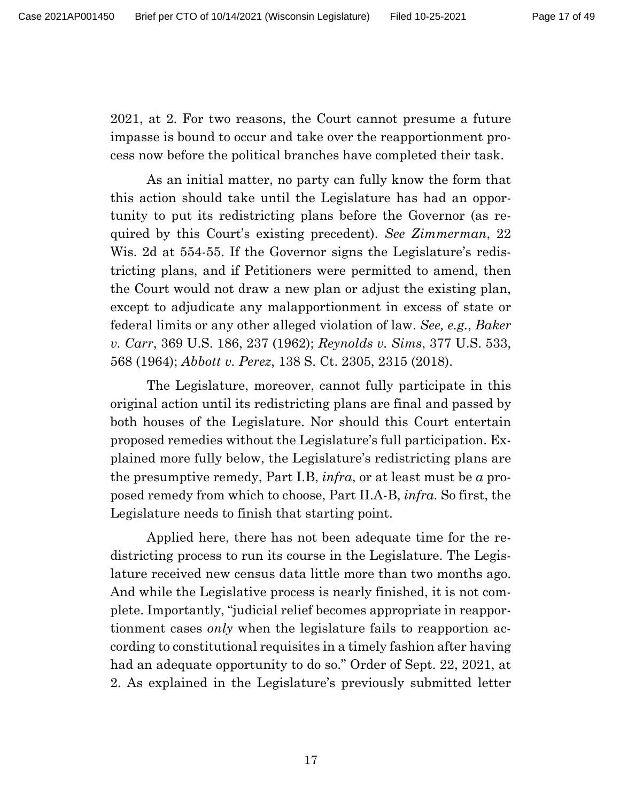2021, at 2. For two reasons, the Court cannot presume a future impasse is bound to occur and take over the reapportionment process now before the political branches have completed their task.

As an initial matter, no party can fully know the form that this action should take until the Legislature has had an opportunity to put its redistricting plans before the Governor (as required by this Court's existing precedent). *See Zimmerman*, 22 Wis. 2d at 554-55. If the Governor signs the Legislature's redistricting plans, and if Petitioners were permitted to amend, then the Court would not draw a new plan or adjust the existing plan, except to adjudicate any malapportionment in excess of state or federal limits or any other alleged violation of law. *See, e.g.*, *Baker v. Carr*, 369 U.S. 186, 237 (1962); *Reynolds v. Sims*, 377 U.S. 533, 568 (1964); *Abbott v. Perez*, 138 S. Ct. 2305, 2315 (2018).

The Legislature, moreover, cannot fully participate in this original action until its redistricting plans are final and passed by both houses of the Legislature. Nor should this Court entertain proposed remedies without the Legislature's full participation. Explained more fully below, the Legislature's redistricting plans are the presumptive remedy, Part I.B, *infra*, or at least must be *a* proposed remedy from which to choose, Part II.A-B, *infra.* So first, the Legislature needs to finish that starting point.

Applied here, there has not been adequate time for the redistricting process to run its course in the Legislature. The Legislature received new census data little more than two months ago. And while the Legislative process is nearly finished, it is not complete. Importantly, "judicial relief becomes appropriate in reapportionment cases *only* when the legislature fails to reapportion according to constitutional requisites in a timely fashion after having had an adequate opportunity to do so." Order of Sept. 22, 2021, at 2. As explained in the Legislature's previously submitted letter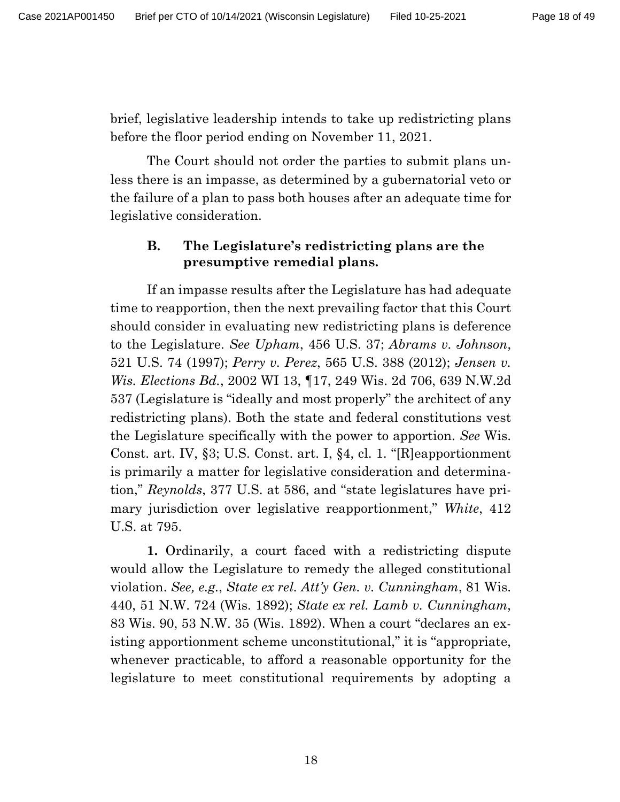brief, legislative leadership intends to take up redistricting plans before the floor period ending on November 11, 2021.

The Court should not order the parties to submit plans unless there is an impasse, as determined by a gubernatorial veto or the failure of a plan to pass both houses after an adequate time for legislative consideration.

## **B. The Legislature's redistricting plans are the presumptive remedial plans.**

If an impasse results after the Legislature has had adequate time to reapportion, then the next prevailing factor that this Court should consider in evaluating new redistricting plans is deference to the Legislature. *See Upham*, 456 U.S. 37; *Abrams v. Johnson*, 521 U.S. 74 (1997); *Perry v. Perez*, 565 U.S. 388 (2012); *Jensen v. Wis. Elections Bd.*, 2002 WI 13, ¶17, 249 Wis. 2d 706, 639 N.W.2d 537 (Legislature is "ideally and most properly" the architect of any redistricting plans). Both the state and federal constitutions vest the Legislature specifically with the power to apportion. *See* Wis. Const. art. IV, §3; U.S. Const. art. I, §4, cl. 1. "[R]eapportionment is primarily a matter for legislative consideration and determination," *Reynolds*, 377 U.S. at 586, and "state legislatures have primary jurisdiction over legislative reapportionment," *White*, 412 U.S. at 795.

**1.** Ordinarily, a court faced with a redistricting dispute would allow the Legislature to remedy the alleged constitutional violation. *See, e.g.*, *State ex rel. Att'y Gen. v. Cunningham*, 81 Wis. 440, 51 N.W. 724 (Wis. 1892); *State ex rel. Lamb v. Cunningham*, 83 Wis. 90, 53 N.W. 35 (Wis. 1892). When a court "declares an existing apportionment scheme unconstitutional," it is "appropriate, whenever practicable, to afford a reasonable opportunity for the legislature to meet constitutional requirements by adopting a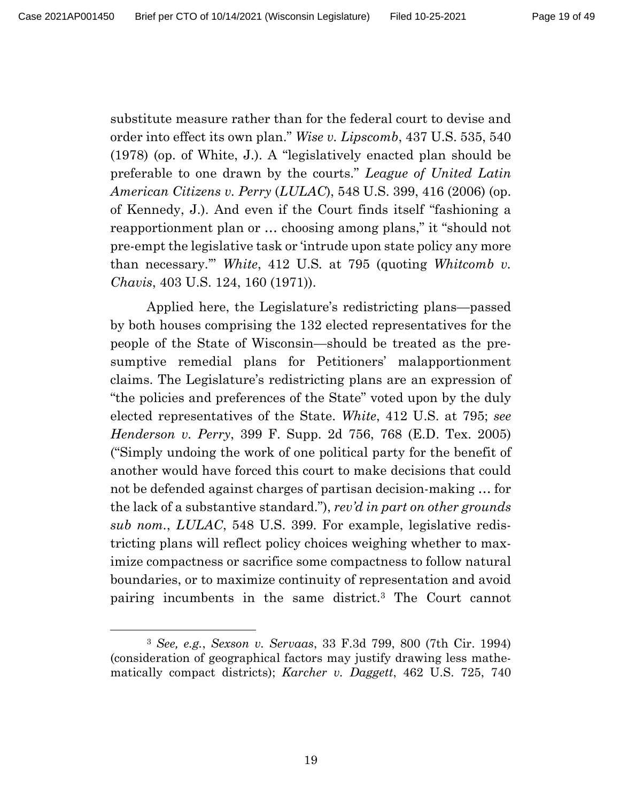substitute measure rather than for the federal court to devise and order into effect its own plan." *Wise v. Lipscomb*, 437 U.S. 535, 540 (1978) (op. of White, J.). A "legislatively enacted plan should be preferable to one drawn by the courts." *League of United Latin American Citizens v. Perry* (*LULAC*), 548 U.S. 399, 416 (2006) (op. of Kennedy, J.). And even if the Court finds itself "fashioning a reapportionment plan or … choosing among plans," it "should not pre-empt the legislative task or 'intrude upon state policy any more than necessary.'" *White*, 412 U.S*.* at 795 (quoting *Whitcomb v. Chavis*, 403 U.S. 124, 160 (1971)).

Applied here, the Legislature's redistricting plans—passed by both houses comprising the 132 elected representatives for the people of the State of Wisconsin—should be treated as the presumptive remedial plans for Petitioners' malapportionment claims. The Legislature's redistricting plans are an expression of "the policies and preferences of the State" voted upon by the duly elected representatives of the State. *White*, 412 U.S. at 795; *see Henderson v. Perry*, 399 F. Supp. 2d 756, 768 (E.D. Tex. 2005) ("Simply undoing the work of one political party for the benefit of another would have forced this court to make decisions that could not be defended against charges of partisan decision-making … for the lack of a substantive standard."), *rev'd in part on other grounds sub nom.*, *LULAC*, 548 U.S. 399. For example, legislative redistricting plans will reflect policy choices weighing whether to maximize compactness or sacrifice some compactness to follow natural boundaries, or to maximize continuity of representation and avoid pairing incumbents in the same district.<sup>3</sup> The Court cannot

<sup>3</sup> *See, e.g.*, *Sexson v. Servaas*, 33 F.3d 799, 800 (7th Cir. 1994) (consideration of geographical factors may justify drawing less mathematically compact districts); *Karcher v. Daggett*, 462 U.S. 725, 740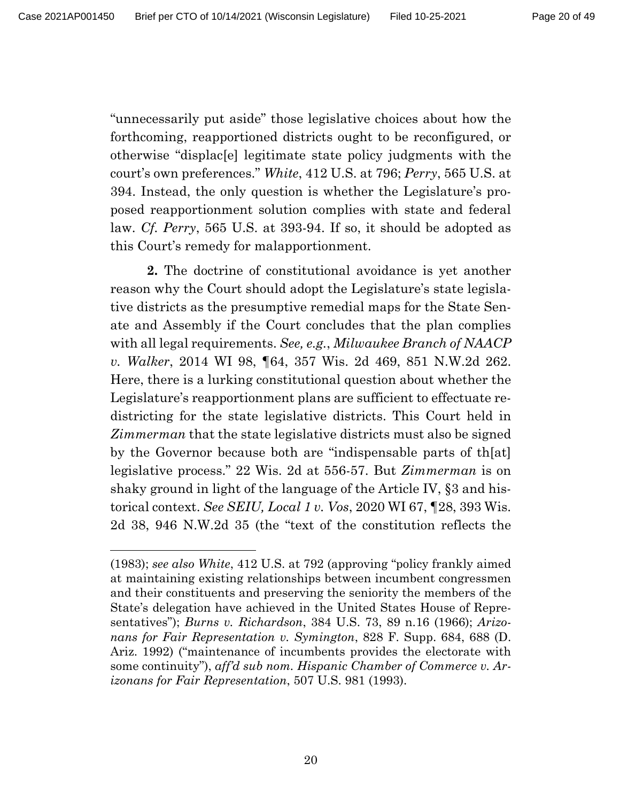"unnecessarily put aside" those legislative choices about how the forthcoming, reapportioned districts ought to be reconfigured, or otherwise "displac[e] legitimate state policy judgments with the court's own preferences." *White*, 412 U.S. at 796; *Perry*, 565 U.S. at 394. Instead, the only question is whether the Legislature's proposed reapportionment solution complies with state and federal law. *Cf. Perry*, 565 U.S. at 393-94. If so, it should be adopted as this Court's remedy for malapportionment.

**2.** The doctrine of constitutional avoidance is yet another reason why the Court should adopt the Legislature's state legislative districts as the presumptive remedial maps for the State Senate and Assembly if the Court concludes that the plan complies with all legal requirements. *See, e.g.*, *Milwaukee Branch of NAACP v. Walker*, 2014 WI 98, ¶64, 357 Wis. 2d 469, 851 N.W.2d 262. Here, there is a lurking constitutional question about whether the Legislature's reapportionment plans are sufficient to effectuate redistricting for the state legislative districts. This Court held in *Zimmerman* that the state legislative districts must also be signed by the Governor because both are "indispensable parts of th[at] legislative process." 22 Wis. 2d at 556-57. But *Zimmerman* is on shaky ground in light of the language of the Article IV, §3 and historical context. *See SEIU, Local 1 v. Vos*, 2020 WI 67, ¶28, 393 Wis. 2d 38, 946 N.W.2d 35 (the "text of the constitution reflects the

<sup>(1983);</sup> *see also White*, 412 U.S. at 792 (approving "policy frankly aimed at maintaining existing relationships between incumbent congressmen and their constituents and preserving the seniority the members of the State's delegation have achieved in the United States House of Representatives"); *Burns v. Richardson*, 384 U.S. 73, 89 n.16 (1966); *Arizonans for Fair Representation v. Symington*, 828 F. Supp. 684, 688 (D. Ariz. 1992) ("maintenance of incumbents provides the electorate with some continuity"), *aff'd sub nom. Hispanic Chamber of Commerce v. Arizonans for Fair Representation*, 507 U.S. 981 (1993).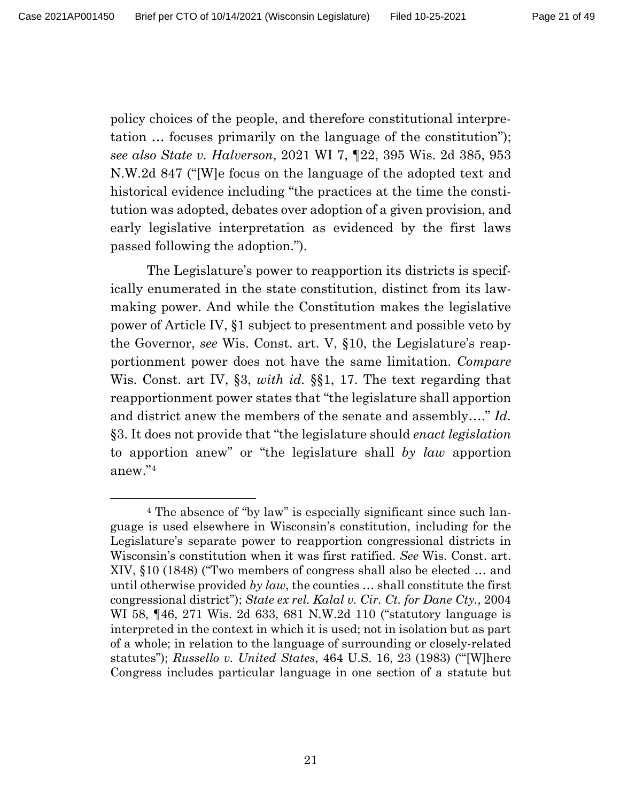policy choices of the people, and therefore constitutional interpretation … focuses primarily on the language of the constitution"); *see also State v. Halverson*, 2021 WI 7, ¶22, 395 Wis. 2d 385, 953 N.W.2d 847 ("[W]e focus on the language of the adopted text and historical evidence including "the practices at the time the constitution was adopted, debates over adoption of a given provision, and early legislative interpretation as evidenced by the first laws passed following the adoption.").

The Legislature's power to reapportion its districts is specifically enumerated in the state constitution, distinct from its lawmaking power. And while the Constitution makes the legislative power of Article IV, §1 subject to presentment and possible veto by the Governor, *see* Wis. Const. art. V, §10, the Legislature's reapportionment power does not have the same limitation. *Compare*  Wis. Const. art IV, §3, *with id.* §§1, 17. The text regarding that reapportionment power states that "the legislature shall apportion and district anew the members of the senate and assembly…." *Id.* §3. It does not provide that "the legislature should *enact legislation* to apportion anew" or "the legislature shall *by law* apportion anew."<sup>4</sup>

<sup>4</sup> The absence of "by law" is especially significant since such language is used elsewhere in Wisconsin's constitution, including for the Legislature's separate power to reapportion congressional districts in Wisconsin's constitution when it was first ratified. *See* Wis. Const. art. XIV, §10 (1848) ("Two members of congress shall also be elected … and until otherwise provided *by law*, the counties … shall constitute the first congressional district"); *State ex rel. Kalal v. Cir. Ct. for Dane Cty.*, 2004 WI 58, ¶46, 271 Wis. 2d 633, 681 N.W.2d 110 ("statutory language is interpreted in the context in which it is used; not in isolation but as part of a whole; in relation to the language of surrounding or closely-related statutes"); *Russello v. United States*, 464 U.S. 16, 23 (1983) ("'[W]here Congress includes particular language in one section of a statute but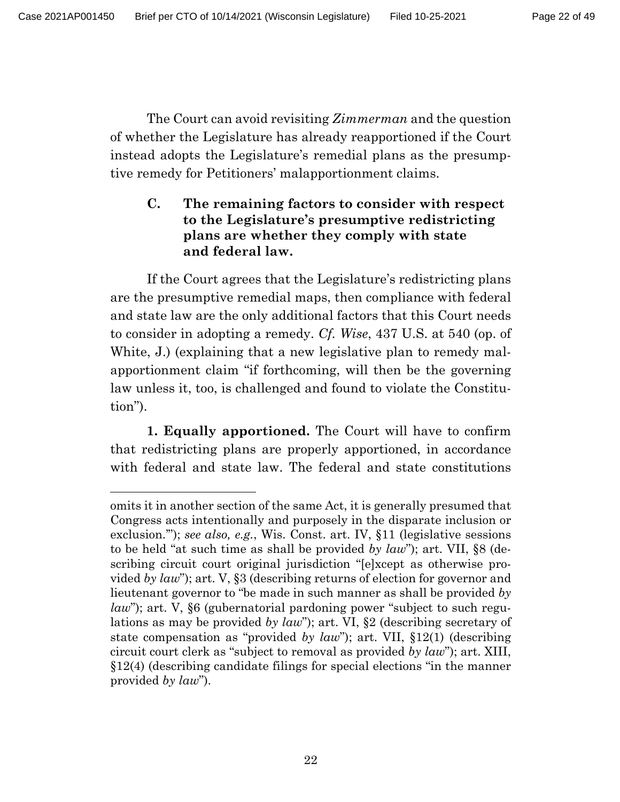The Court can avoid revisiting *Zimmerman* and the question of whether the Legislature has already reapportioned if the Court instead adopts the Legislature's remedial plans as the presumptive remedy for Petitioners' malapportionment claims.

## **C. The remaining factors to consider with respect to the Legislature's presumptive redistricting plans are whether they comply with state and federal law.**

If the Court agrees that the Legislature's redistricting plans are the presumptive remedial maps, then compliance with federal and state law are the only additional factors that this Court needs to consider in adopting a remedy. *Cf. Wise*, 437 U.S. at 540 (op. of White, J.) (explaining that a new legislative plan to remedy malapportionment claim "if forthcoming, will then be the governing law unless it, too, is challenged and found to violate the Constitution").

**1. Equally apportioned.** The Court will have to confirm that redistricting plans are properly apportioned, in accordance with federal and state law. The federal and state constitutions

omits it in another section of the same Act, it is generally presumed that Congress acts intentionally and purposely in the disparate inclusion or exclusion.'"); *see also, e.g.*, Wis. Const. art. IV, §11 (legislative sessions to be held "at such time as shall be provided *by law*"); art. VII, §8 (describing circuit court original jurisdiction "[e]xcept as otherwise provided *by law*"); art. V, §3 (describing returns of election for governor and lieutenant governor to "be made in such manner as shall be provided *by law*"); art. V, §6 (gubernatorial pardoning power "subject to such regulations as may be provided *by law*"); art. VI, §2 (describing secretary of state compensation as "provided *by law*"); art. VII, §12(1) (describing circuit court clerk as "subject to removal as provided *by law*"); art. XIII, §12(4) (describing candidate filings for special elections "in the manner provided *by law*").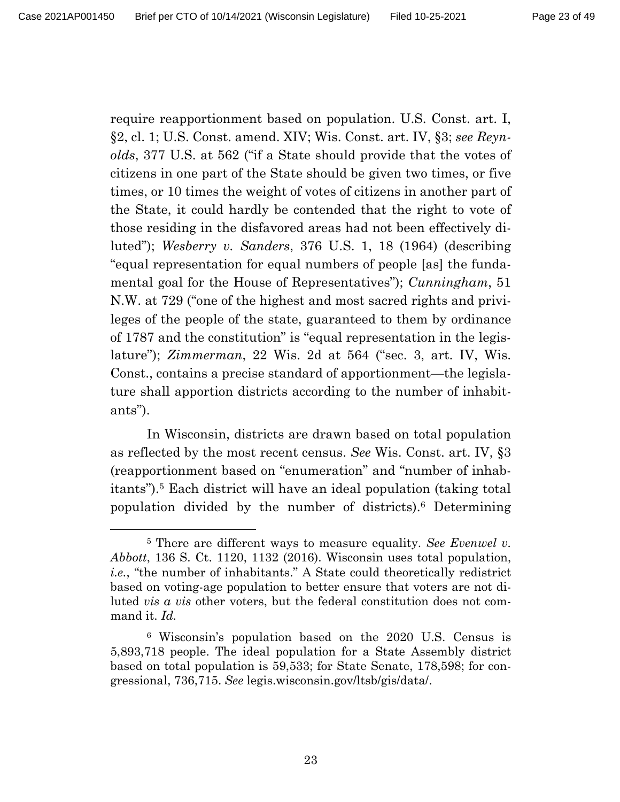require reapportionment based on population. U.S. Const. art. I, §2, cl. 1; U.S. Const. amend. XIV; Wis. Const. art. IV, §3; *see Reynolds*, 377 U.S. at 562 ("if a State should provide that the votes of citizens in one part of the State should be given two times, or five times, or 10 times the weight of votes of citizens in another part of the State, it could hardly be contended that the right to vote of those residing in the disfavored areas had not been effectively diluted"); *Wesberry v. Sanders*, 376 U.S. 1, 18 (1964) (describing "equal representation for equal numbers of people [as] the fundamental goal for the House of Representatives"); *Cunningham*, 51 N.W. at 729 ("one of the highest and most sacred rights and privileges of the people of the state, guaranteed to them by ordinance of 1787 and the constitution" is "equal representation in the legislature"); *Zimmerman*, 22 Wis. 2d at 564 ("sec. 3, art. IV, Wis. Const., contains a precise standard of apportionment—the legislature shall apportion districts according to the number of inhabitants").

In Wisconsin, districts are drawn based on total population as reflected by the most recent census. *See* Wis. Const. art. IV, §3 (reapportionment based on "enumeration" and "number of inhabitants").<sup>5</sup> Each district will have an ideal population (taking total population divided by the number of districts).<sup>6</sup> Determining

<sup>5</sup> There are different ways to measure equality. *See Evenwel v. Abbott*, 136 S. Ct. 1120, 1132 (2016). Wisconsin uses total population, *i.e.*, "the number of inhabitants." A State could theoretically redistrict based on voting-age population to better ensure that voters are not diluted *vis a vis* other voters, but the federal constitution does not command it. *Id.* 

<sup>6</sup> Wisconsin's population based on the 2020 U.S. Census is 5,893,718 people. The ideal population for a State Assembly district based on total population is 59,533; for State Senate, 178,598; for congressional, 736,715. *See* legis.wisconsin.gov/ltsb/gis/data/.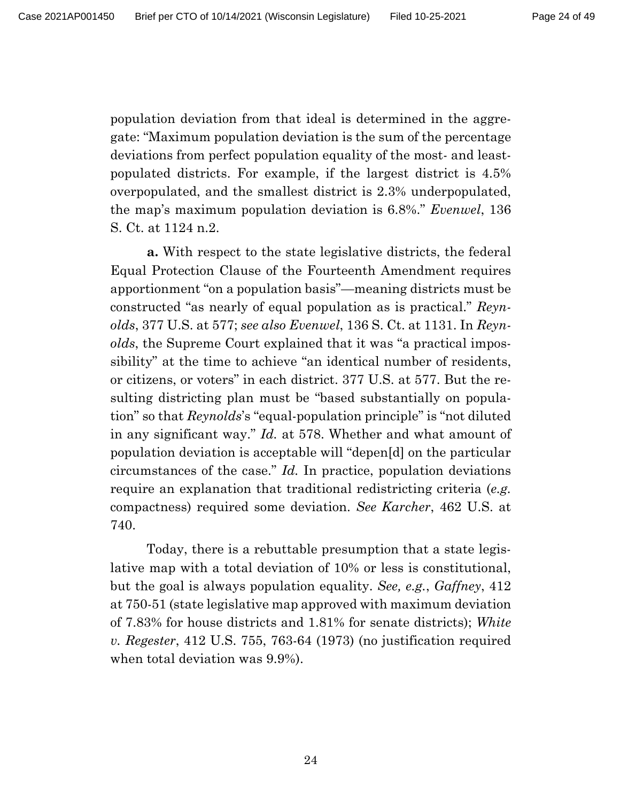population deviation from that ideal is determined in the aggregate: "Maximum population deviation is the sum of the percentage deviations from perfect population equality of the most- and leastpopulated districts. For example, if the largest district is 4.5% overpopulated, and the smallest district is 2.3% underpopulated, the map's maximum population deviation is 6.8%." *Evenwel*, 136 S. Ct. at 1124 n.2.

**a.** With respect to the state legislative districts, the federal Equal Protection Clause of the Fourteenth Amendment requires apportionment "on a population basis"—meaning districts must be constructed "as nearly of equal population as is practical." *Reynolds*, 377 U.S. at 577; *see also Evenwel*, 136 S. Ct. at 1131. In *Reynolds*, the Supreme Court explained that it was "a practical impossibility" at the time to achieve "an identical number of residents, or citizens, or voters" in each district. 377 U.S. at 577. But the resulting districting plan must be "based substantially on population" so that *Reynolds*'s "equal-population principle" is "not diluted in any significant way." *Id.* at 578. Whether and what amount of population deviation is acceptable will "depen[d] on the particular circumstances of the case." *Id.* In practice, population deviations require an explanation that traditional redistricting criteria (*e.g.*  compactness) required some deviation. *See Karcher*, 462 U.S. at 740.

Today, there is a rebuttable presumption that a state legislative map with a total deviation of 10% or less is constitutional, but the goal is always population equality. *See, e.g.*, *Gaffney*, 412 at 750-51 (state legislative map approved with maximum deviation of 7.83% for house districts and 1.81% for senate districts); *White v. Regester*, 412 U.S. 755, 763-64 (1973) (no justification required when total deviation was 9.9%).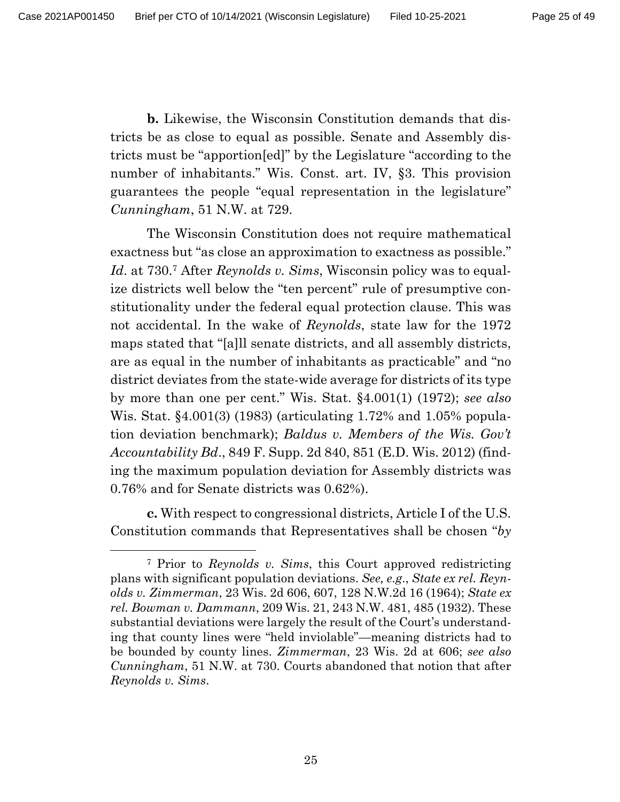**b.** Likewise, the Wisconsin Constitution demands that districts be as close to equal as possible. Senate and Assembly districts must be "apportion[ed]" by the Legislature "according to the number of inhabitants." Wis. Const. art. IV, §3. This provision guarantees the people "equal representation in the legislature" *Cunningham*, 51 N.W. at 729.

The Wisconsin Constitution does not require mathematical exactness but "as close an approximation to exactness as possible." *Id*. at 730.<sup>7</sup> After *Reynolds v. Sims*, Wisconsin policy was to equalize districts well below the "ten percent" rule of presumptive constitutionality under the federal equal protection clause. This was not accidental. In the wake of *Reynolds*, state law for the 1972 maps stated that "[a]ll senate districts, and all assembly districts, are as equal in the number of inhabitants as practicable" and "no district deviates from the state-wide average for districts of its type by more than one per cent." Wis. Stat. §4.001(1) (1972); *see also*  Wis. Stat. §4.001(3) (1983) (articulating 1.72% and 1.05% population deviation benchmark); *Baldus v. Members of the Wis. Gov't Accountability Bd*., 849 F. Supp. 2d 840, 851 (E.D. Wis. 2012) (finding the maximum population deviation for Assembly districts was 0.76% and for Senate districts was 0.62%).

**c.** With respect to congressional districts, Article I of the U.S. Constitution commands that Representatives shall be chosen "*by* 

<sup>7</sup> Prior to *Reynolds v. Sims*, this Court approved redistricting plans with significant population deviations. *See, e.g*., *State ex rel. Reynolds v. Zimmerman*, 23 Wis. 2d 606, 607, 128 N.W.2d 16 (1964); *State ex rel. Bowman v. Dammann*, 209 Wis. 21, 243 N.W. 481, 485 (1932). These substantial deviations were largely the result of the Court's understanding that county lines were "held inviolable"—meaning districts had to be bounded by county lines. *Zimmerman*, 23 Wis. 2d at 606; *see also Cunningham*, 51 N.W. at 730. Courts abandoned that notion that after *Reynolds v. Sims*.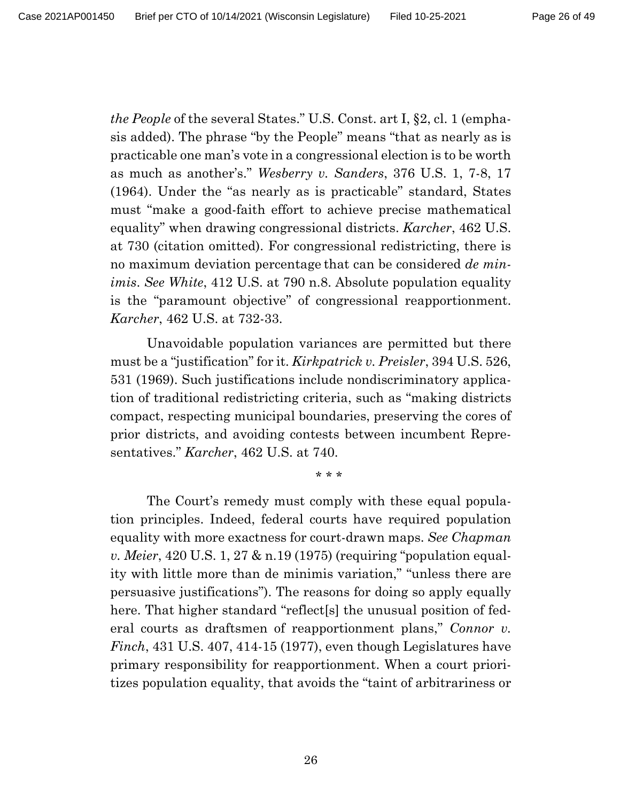*the People* of the several States." U.S. Const. art I, §2, cl. 1 (emphasis added). The phrase "by the People" means "that as nearly as is practicable one man's vote in a congressional election is to be worth as much as another's." *Wesberry v. Sanders*, 376 U.S. 1, 7-8, 17 (1964). Under the "as nearly as is practicable" standard, States must "make a good-faith effort to achieve precise mathematical equality" when drawing congressional districts. *Karcher*, 462 U.S. at 730 (citation omitted). For congressional redistricting, there is no maximum deviation percentage that can be considered *de minimis*. *See White*, 412 U.S. at 790 n.8. Absolute population equality is the "paramount objective" of congressional reapportionment. *Karcher*, 462 U.S. at 732-33.

Unavoidable population variances are permitted but there must be a "justification" for it. *Kirkpatrick v. Preisler*, 394 U.S. 526, 531 (1969). Such justifications include nondiscriminatory application of traditional redistricting criteria, such as "making districts compact, respecting municipal boundaries, preserving the cores of prior districts, and avoiding contests between incumbent Representatives." *Karcher*, 462 U.S. at 740.

\* \* \*

The Court's remedy must comply with these equal population principles. Indeed, federal courts have required population equality with more exactness for court-drawn maps. *See Chapman v. Meier*, 420 U.S. 1, 27 & n.19 (1975) (requiring "population equality with little more than de minimis variation," "unless there are persuasive justifications"). The reasons for doing so apply equally here. That higher standard "reflect<sup>[s]</sup> the unusual position of federal courts as draftsmen of reapportionment plans," *Connor v. Finch*, 431 U.S. 407, 414-15 (1977), even though Legislatures have primary responsibility for reapportionment. When a court prioritizes population equality, that avoids the "taint of arbitrariness or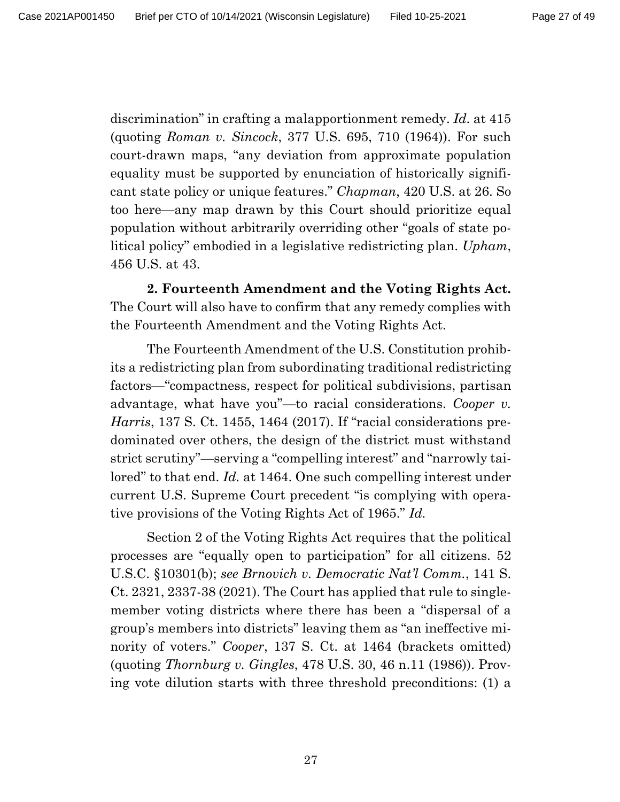discrimination" in crafting a malapportionment remedy. *Id.* at 415 (quoting *Roman v. Sincock*, 377 U.S. 695, 710 (1964)). For such court-drawn maps, "any deviation from approximate population equality must be supported by enunciation of historically significant state policy or unique features." *Chapman*, 420 U.S. at 26. So too here—any map drawn by this Court should prioritize equal population without arbitrarily overriding other "goals of state political policy" embodied in a legislative redistricting plan. *Upham*, 456 U.S. at 43.

**2. Fourteenth Amendment and the Voting Rights Act.** The Court will also have to confirm that any remedy complies with the Fourteenth Amendment and the Voting Rights Act.

The Fourteenth Amendment of the U.S. Constitution prohibits a redistricting plan from subordinating traditional redistricting factors—"compactness, respect for political subdivisions, partisan advantage, what have you"—to racial considerations. *Cooper v. Harris*, 137 S. Ct. 1455, 1464 (2017). If "racial considerations predominated over others, the design of the district must withstand strict scrutiny"—serving a "compelling interest" and "narrowly tailored" to that end. *Id.* at 1464. One such compelling interest under current U.S. Supreme Court precedent "is complying with operative provisions of the Voting Rights Act of 1965." *Id.* 

Section 2 of the Voting Rights Act requires that the political processes are "equally open to participation" for all citizens. 52 U.S.C. §10301(b); *see Brnovich v. Democratic Nat'l Comm.*, 141 S. Ct. 2321, 2337-38 (2021). The Court has applied that rule to singlemember voting districts where there has been a "dispersal of a group's members into districts" leaving them as "an ineffective minority of voters." *Cooper*, 137 S. Ct. at 1464 (brackets omitted) (quoting *Thornburg v. Gingles*, 478 U.S. 30, 46 n.11 (1986)). Proving vote dilution starts with three threshold preconditions: (1) a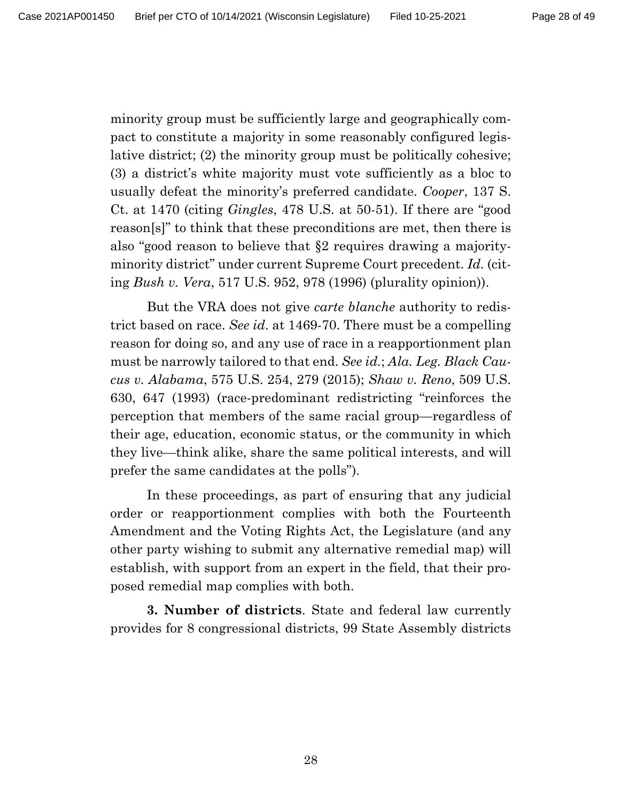minority group must be sufficiently large and geographically compact to constitute a majority in some reasonably configured legislative district; (2) the minority group must be politically cohesive; (3) a district's white majority must vote sufficiently as a bloc to usually defeat the minority's preferred candidate. *Cooper*, 137 S. Ct. at 1470 (citing *Gingles*, 478 U.S. at 50-51). If there are "good reason[s]" to think that these preconditions are met, then there is also "good reason to believe that §2 requires drawing a majorityminority district" under current Supreme Court precedent. *Id.* (citing *Bush v. Vera*, 517 U.S. 952, 978 (1996) (plurality opinion)).

But the VRA does not give *carte blanche* authority to redistrict based on race. *See id*. at 1469-70. There must be a compelling reason for doing so, and any use of race in a reapportionment plan must be narrowly tailored to that end. *See id.*; *Ala. Leg. Black Caucus v. Alabama*, 575 U.S. 254, 279 (2015); *Shaw v. Reno*, 509 U.S. 630, 647 (1993) (race-predominant redistricting "reinforces the perception that members of the same racial group—regardless of their age, education, economic status, or the community in which they live—think alike, share the same political interests, and will prefer the same candidates at the polls").

In these proceedings, as part of ensuring that any judicial order or reapportionment complies with both the Fourteenth Amendment and the Voting Rights Act, the Legislature (and any other party wishing to submit any alternative remedial map) will establish, with support from an expert in the field, that their proposed remedial map complies with both.

**3. Number of districts**. State and federal law currently provides for 8 congressional districts, 99 State Assembly districts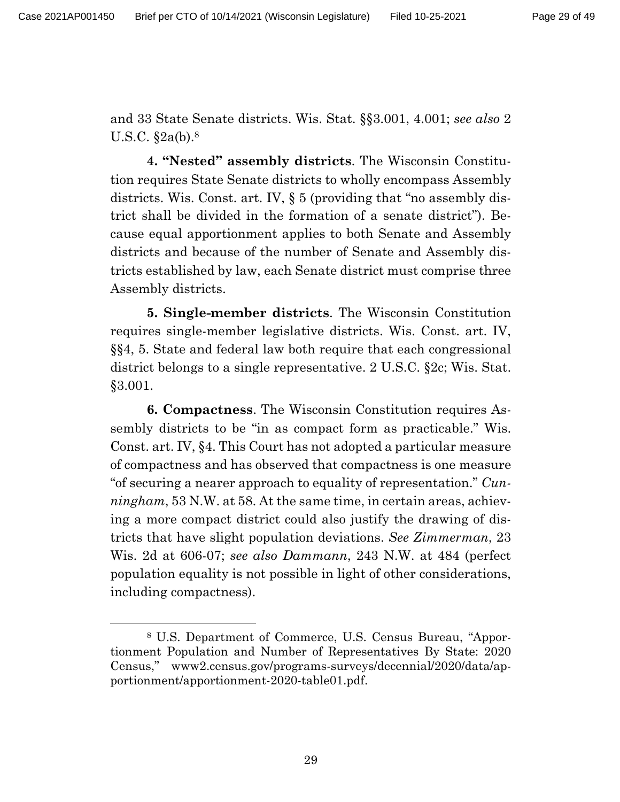and 33 State Senate districts. Wis. Stat. §§3.001, 4.001; *see also* 2 U.S.C. §2a(b). 8

**4. "Nested" assembly districts**. The Wisconsin Constitution requires State Senate districts to wholly encompass Assembly districts. Wis. Const. art. IV, § 5 (providing that "no assembly district shall be divided in the formation of a senate district"). Because equal apportionment applies to both Senate and Assembly districts and because of the number of Senate and Assembly districts established by law, each Senate district must comprise three Assembly districts.

**5. Single-member districts**. The Wisconsin Constitution requires single-member legislative districts. Wis. Const. art. IV, §§4, 5. State and federal law both require that each congressional district belongs to a single representative. 2 U.S.C. §2c; Wis. Stat. §3.001.

**6. Compactness**. The Wisconsin Constitution requires Assembly districts to be "in as compact form as practicable." Wis. Const. art. IV, §4. This Court has not adopted a particular measure of compactness and has observed that compactness is one measure "of securing a nearer approach to equality of representation." *Cunningham*, 53 N.W. at 58. At the same time, in certain areas, achieving a more compact district could also justify the drawing of districts that have slight population deviations. *See Zimmerman*, 23 Wis. 2d at 606-07; *see also Dammann*, 243 N.W. at 484 (perfect population equality is not possible in light of other considerations, including compactness).

<sup>8</sup> U.S. Department of Commerce, U.S. Census Bureau, "Apportionment Population and Number of Representatives By State: 2020 Census," www2.census.gov/programs-surveys/decennial/2020/data/apportionment/apportionment-2020-table01.pdf.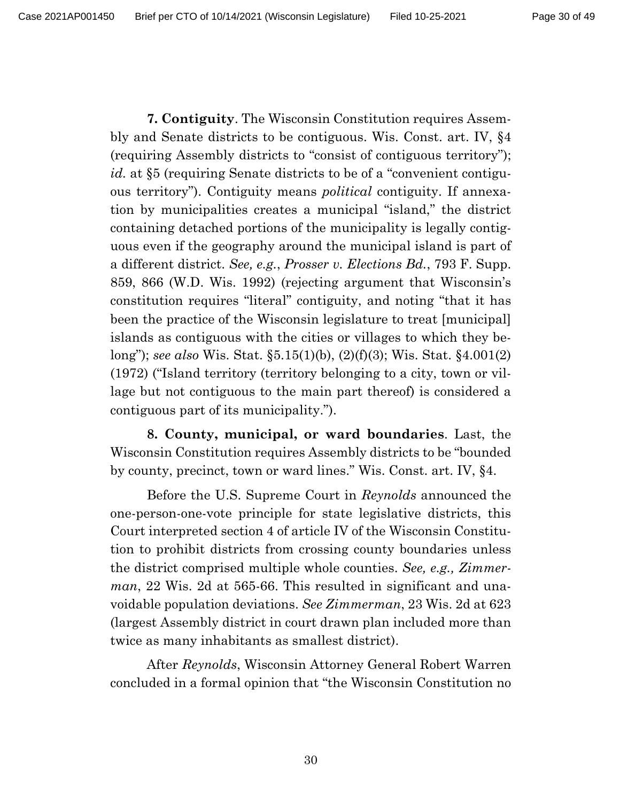**7. Contiguity**. The Wisconsin Constitution requires Assembly and Senate districts to be contiguous. Wis. Const. art. IV, §4 (requiring Assembly districts to "consist of contiguous territory"); *id.* at §5 (requiring Senate districts to be of a "convenient contiguous territory"). Contiguity means *political* contiguity. If annexation by municipalities creates a municipal "island," the district containing detached portions of the municipality is legally contiguous even if the geography around the municipal island is part of a different district. *See, e.g.*, *Prosser v. Elections Bd.*, 793 F. Supp. 859, 866 (W.D. Wis. 1992) (rejecting argument that Wisconsin's constitution requires "literal" contiguity, and noting "that it has been the practice of the Wisconsin legislature to treat [municipal] islands as contiguous with the cities or villages to which they belong"); *see also* Wis. Stat. §5.15(1)(b), (2)(f)(3); Wis. Stat. §4.001(2) (1972) ("Island territory (territory belonging to a city, town or village but not contiguous to the main part thereof) is considered a contiguous part of its municipality.").

**8. County, municipal, or ward boundaries**. Last, the Wisconsin Constitution requires Assembly districts to be "bounded by county, precinct, town or ward lines." Wis. Const. art. IV, §4.

Before the U.S. Supreme Court in *Reynolds* announced the one-person-one-vote principle for state legislative districts, this Court interpreted section 4 of article IV of the Wisconsin Constitution to prohibit districts from crossing county boundaries unless the district comprised multiple whole counties. *See, e.g., Zimmerman*, 22 Wis. 2d at 565-66. This resulted in significant and unavoidable population deviations. *See Zimmerman*, 23 Wis. 2d at 623 (largest Assembly district in court drawn plan included more than twice as many inhabitants as smallest district).

After *Reynolds*, Wisconsin Attorney General Robert Warren concluded in a formal opinion that "the Wisconsin Constitution no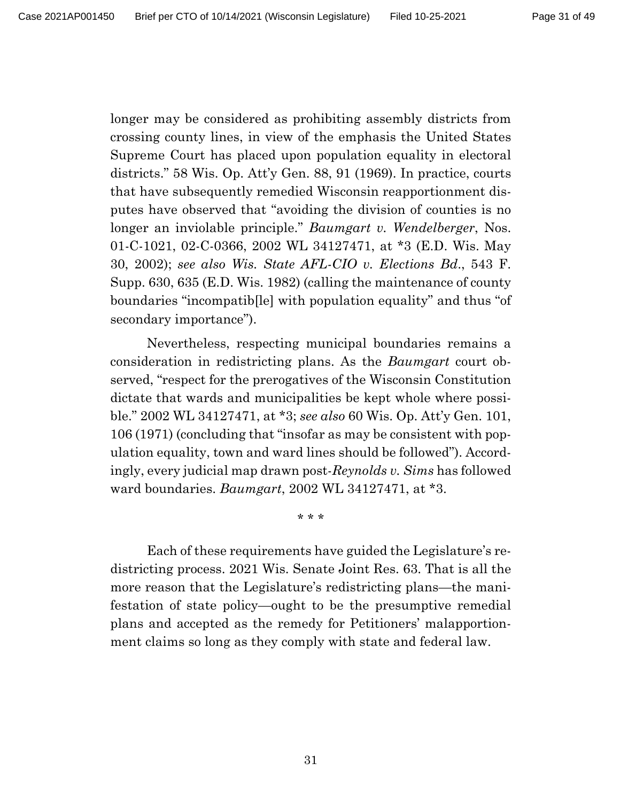longer may be considered as prohibiting assembly districts from crossing county lines, in view of the emphasis the United States Supreme Court has placed upon population equality in electoral districts." 58 Wis. Op. Att'y Gen. 88, 91 (1969). In practice, courts that have subsequently remedied Wisconsin reapportionment disputes have observed that "avoiding the division of counties is no longer an inviolable principle." *Baumgart v. Wendelberger*, Nos. 01-C-1021, 02-C-0366, 2002 WL 34127471, at \*3 (E.D. Wis. May 30, 2002); *see also Wis. State AFL-CIO v. Elections Bd*., 543 F. Supp. 630, 635 (E.D. Wis. 1982) (calling the maintenance of county boundaries "incompatib[le] with population equality" and thus "of secondary importance").

Nevertheless, respecting municipal boundaries remains a consideration in redistricting plans. As the *Baumgart* court observed, "respect for the prerogatives of the Wisconsin Constitution dictate that wards and municipalities be kept whole where possible." 2002 WL 34127471, at \*3; *see also* 60 Wis. Op. Att'y Gen. 101, 106 (1971) (concluding that "insofar as may be consistent with population equality, town and ward lines should be followed"). Accordingly, every judicial map drawn post-*Reynolds v. Sims* has followed ward boundaries. *Baumgart*, 2002 WL 34127471, at \*3.

\* \* \*

Each of these requirements have guided the Legislature's redistricting process. 2021 Wis. Senate Joint Res. 63. That is all the more reason that the Legislature's redistricting plans—the manifestation of state policy—ought to be the presumptive remedial plans and accepted as the remedy for Petitioners' malapportionment claims so long as they comply with state and federal law.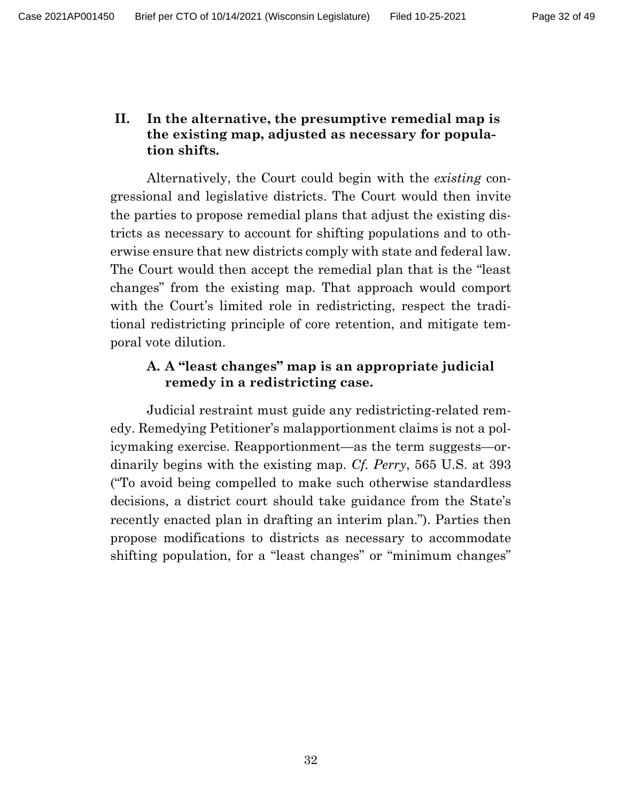## **II. In the alternative, the presumptive remedial map is the existing map, adjusted as necessary for population shifts.**

Alternatively, the Court could begin with the *existing* congressional and legislative districts. The Court would then invite the parties to propose remedial plans that adjust the existing districts as necessary to account for shifting populations and to otherwise ensure that new districts comply with state and federal law. The Court would then accept the remedial plan that is the "least changes" from the existing map. That approach would comport with the Court's limited role in redistricting, respect the traditional redistricting principle of core retention, and mitigate temporal vote dilution.

## **A. A "least changes" map is an appropriate judicial remedy in a redistricting case.**

Judicial restraint must guide any redistricting-related remedy. Remedying Petitioner's malapportionment claims is not a policymaking exercise. Reapportionment—as the term suggests—ordinarily begins with the existing map. *Cf. Perry*, 565 U.S. at 393 ("To avoid being compelled to make such otherwise standardless decisions, a district court should take guidance from the State's recently enacted plan in drafting an interim plan."). Parties then propose modifications to districts as necessary to accommodate shifting population, for a "least changes" or "minimum changes"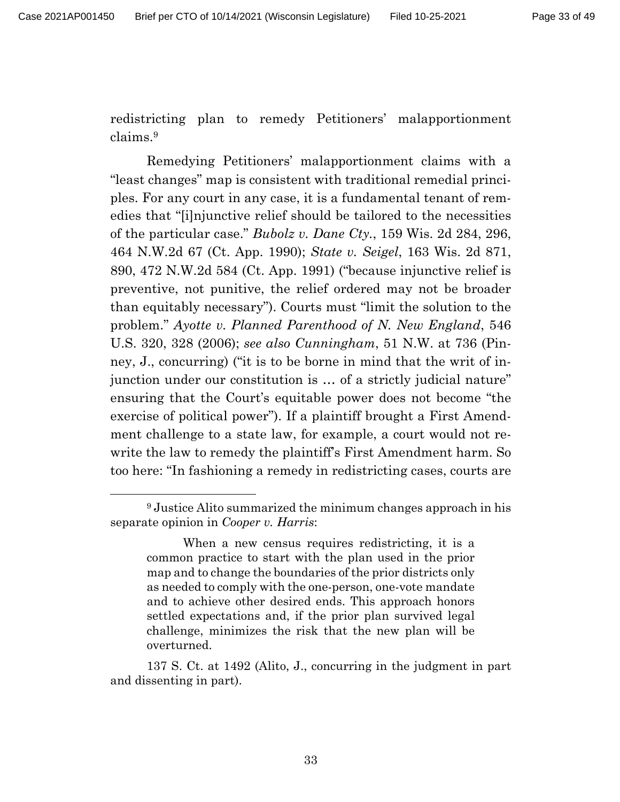redistricting plan to remedy Petitioners' malapportionment claims.<sup>9</sup>

Remedying Petitioners' malapportionment claims with a "least changes" map is consistent with traditional remedial principles. For any court in any case, it is a fundamental tenant of remedies that "[i]njunctive relief should be tailored to the necessities of the particular case." *Bubolz v. Dane Cty.*, 159 Wis. 2d 284, 296, 464 N.W.2d 67 (Ct. App. 1990); *State v. Seigel*, 163 Wis. 2d 871, 890, 472 N.W.2d 584 (Ct. App. 1991) ("because injunctive relief is preventive, not punitive, the relief ordered may not be broader than equitably necessary"). Courts must "limit the solution to the problem." *Ayotte v. Planned Parenthood of N. New England*, 546 U.S. 320, 328 (2006); *see also Cunningham*, 51 N.W. at 736 (Pinney, J., concurring) ("it is to be borne in mind that the writ of injunction under our constitution is … of a strictly judicial nature" ensuring that the Court's equitable power does not become "the exercise of political power"). If a plaintiff brought a First Amendment challenge to a state law, for example, a court would not rewrite the law to remedy the plaintiff's First Amendment harm. So too here: "In fashioning a remedy in redistricting cases, courts are

<sup>9</sup> Justice Alito summarized the minimum changes approach in his separate opinion in *Cooper v. Harris*:

When a new census requires redistricting, it is a common practice to start with the plan used in the prior map and to change the boundaries of the prior districts only as needed to comply with the one-person, one-vote mandate and to achieve other desired ends. This approach honors settled expectations and, if the prior plan survived legal challenge, minimizes the risk that the new plan will be overturned.

<sup>137</sup> S. Ct. at 1492 (Alito, J., concurring in the judgment in part and dissenting in part).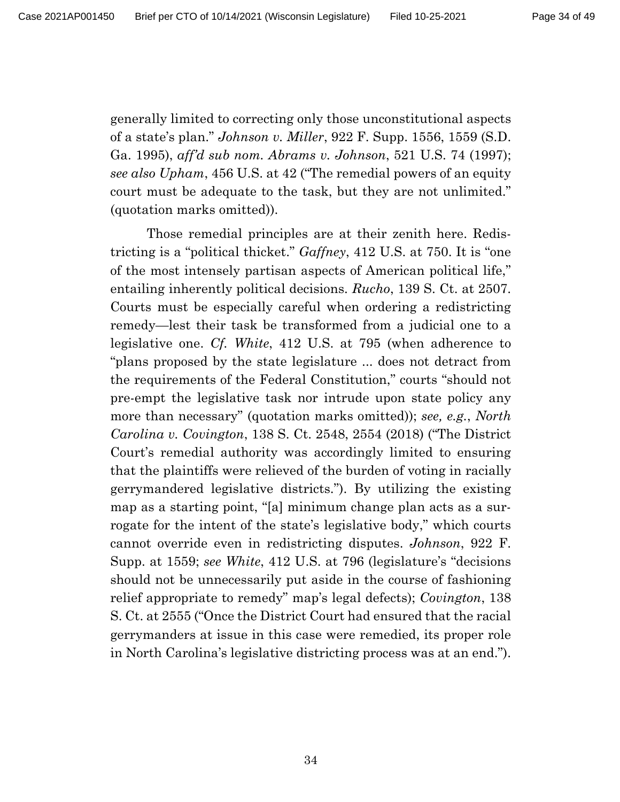generally limited to correcting only those unconstitutional aspects of a state's plan." *Johnson v. Miller*, 922 F. Supp. 1556, 1559 (S.D. Ga. 1995), *aff'd sub nom. Abrams v. Johnson*, 521 U.S. 74 (1997); *see also Upham*, 456 U.S. at 42 ("The remedial powers of an equity court must be adequate to the task, but they are not unlimited." (quotation marks omitted)).

Those remedial principles are at their zenith here. Redistricting is a "political thicket." *Gaffney*, 412 U.S. at 750. It is "one of the most intensely partisan aspects of American political life," entailing inherently political decisions. *Rucho*, 139 S. Ct. at 2507. Courts must be especially careful when ordering a redistricting remedy—lest their task be transformed from a judicial one to a legislative one. *Cf. White*, 412 U.S. at 795 (when adherence to "plans proposed by the state legislature ... does not detract from the requirements of the Federal Constitution," courts "should not pre-empt the legislative task nor intrude upon state policy any more than necessary" (quotation marks omitted)); *see, e.g.*, *North Carolina v. Covington*, 138 S. Ct. 2548, 2554 (2018) ("The District Court's remedial authority was accordingly limited to ensuring that the plaintiffs were relieved of the burden of voting in racially gerrymandered legislative districts."). By utilizing the existing map as a starting point, "[a] minimum change plan acts as a surrogate for the intent of the state's legislative body," which courts cannot override even in redistricting disputes. *Johnson*, 922 F. Supp. at 1559; *see White*, 412 U.S. at 796 (legislature's "decisions should not be unnecessarily put aside in the course of fashioning relief appropriate to remedy" map's legal defects); *Covington*, 138 S. Ct. at 2555 ("Once the District Court had ensured that the racial gerrymanders at issue in this case were remedied, its proper role in North Carolina's legislative districting process was at an end.").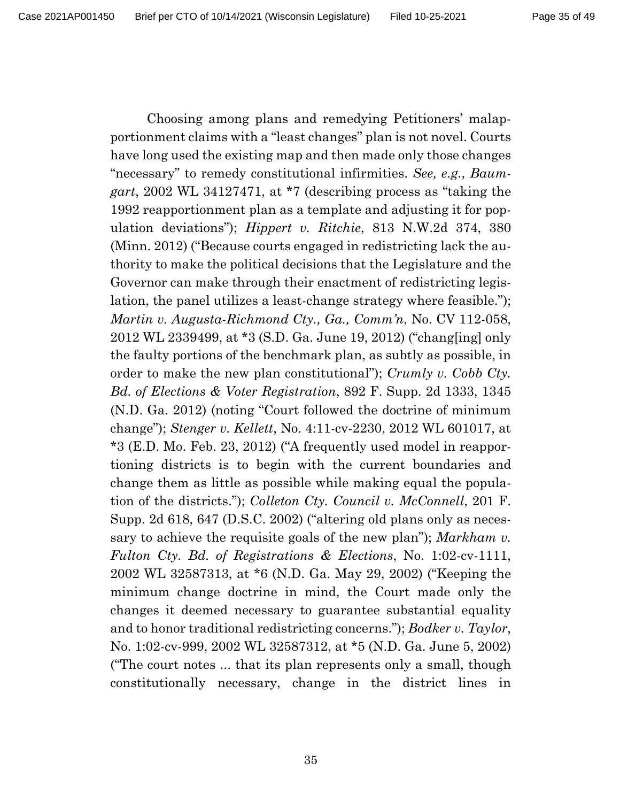Choosing among plans and remedying Petitioners' malapportionment claims with a "least changes" plan is not novel. Courts have long used the existing map and then made only those changes "necessary" to remedy constitutional infirmities. *See, e.g.*, *Baumgart*, 2002 WL 34127471, at \*7 (describing process as "taking the 1992 reapportionment plan as a template and adjusting it for population deviations"); *Hippert v. Ritchie*, 813 N.W.2d 374, 380 (Minn. 2012) ("Because courts engaged in redistricting lack the authority to make the political decisions that the Legislature and the Governor can make through their enactment of redistricting legislation, the panel utilizes a least-change strategy where feasible."); *Martin v. Augusta-Richmond Cty., Ga., Comm'n*, No. CV 112-058, 2012 WL 2339499, at \*3 (S.D. Ga. June 19, 2012) ("chang[ing] only the faulty portions of the benchmark plan, as subtly as possible, in order to make the new plan constitutional"); *Crumly v. Cobb Cty. Bd. of Elections & Voter Registration*, 892 F. Supp. 2d 1333, 1345 (N.D. Ga. 2012) (noting "Court followed the doctrine of minimum change"); *Stenger v. Kellett*, No. 4:11-cv-2230, 2012 WL 601017, at \*3 (E.D. Mo. Feb. 23, 2012) ("A frequently used model in reapportioning districts is to begin with the current boundaries and change them as little as possible while making equal the population of the districts."); *Colleton Cty. Council v. McConnell*, 201 F. Supp. 2d 618, 647 (D.S.C. 2002) ("altering old plans only as necessary to achieve the requisite goals of the new plan"); *Markham v. Fulton Cty. Bd. of Registrations & Elections*, No. 1:02-cv-1111, 2002 WL 32587313, at \*6 (N.D. Ga. May 29, 2002) ("Keeping the minimum change doctrine in mind, the Court made only the changes it deemed necessary to guarantee substantial equality and to honor traditional redistricting concerns."); *Bodker v. Taylor*, No. 1:02-cv-999, 2002 WL 32587312, at \*5 (N.D. Ga. June 5, 2002) ("The court notes ... that its plan represents only a small, though constitutionally necessary, change in the district lines in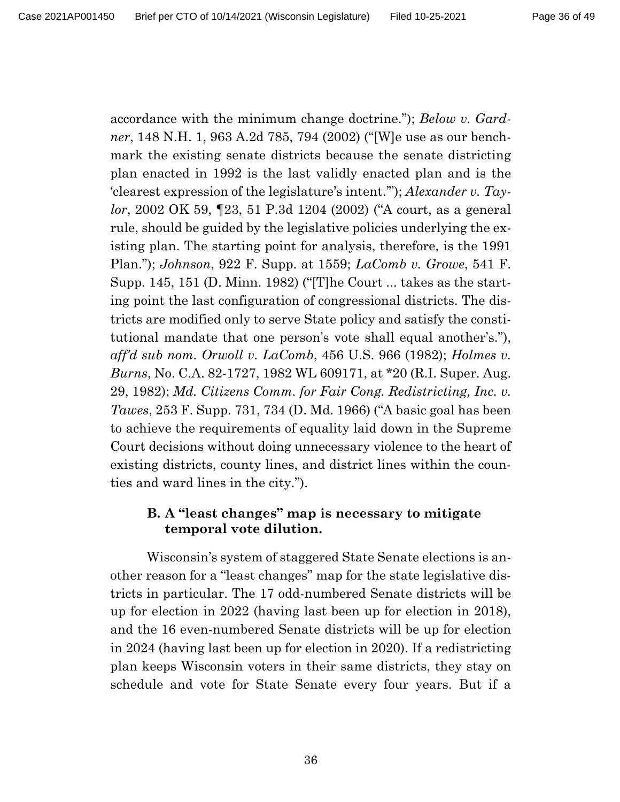accordance with the minimum change doctrine."); *Below v. Gardner*, 148 N.H. 1, 963 A.2d 785, 794 (2002) ("[W]e use as our benchmark the existing senate districts because the senate districting plan enacted in 1992 is the last validly enacted plan and is the 'clearest expression of the legislature's intent.'"); *Alexander v. Taylor*, 2002 OK 59, ¶23, 51 P.3d 1204 (2002) ("A court, as a general rule, should be guided by the legislative policies underlying the existing plan. The starting point for analysis, therefore, is the 1991 Plan."); *Johnson*, 922 F. Supp. at 1559; *LaComb v. Growe*, 541 F. Supp. 145, 151 (D. Minn. 1982) ("[T]he Court ... takes as the starting point the last configuration of congressional districts. The districts are modified only to serve State policy and satisfy the constitutional mandate that one person's vote shall equal another's."), *aff'd sub nom. Orwoll v. LaComb*, 456 U.S. 966 (1982); *Holmes v. Burns*, No. C.A. 82-1727, 1982 WL 609171, at \*20 (R.I. Super. Aug. 29, 1982); *Md. Citizens Comm. for Fair Cong. Redistricting, Inc. v. Tawes*, 253 F. Supp. 731, 734 (D. Md. 1966) ("A basic goal has been to achieve the requirements of equality laid down in the Supreme Court decisions without doing unnecessary violence to the heart of existing districts, county lines, and district lines within the counties and ward lines in the city.").

### **B. A "least changes" map is necessary to mitigate temporal vote dilution.**

Wisconsin's system of staggered State Senate elections is another reason for a "least changes" map for the state legislative districts in particular. The 17 odd-numbered Senate districts will be up for election in 2022 (having last been up for election in 2018), and the 16 even-numbered Senate districts will be up for election in 2024 (having last been up for election in 2020). If a redistricting plan keeps Wisconsin voters in their same districts, they stay on schedule and vote for State Senate every four years. But if a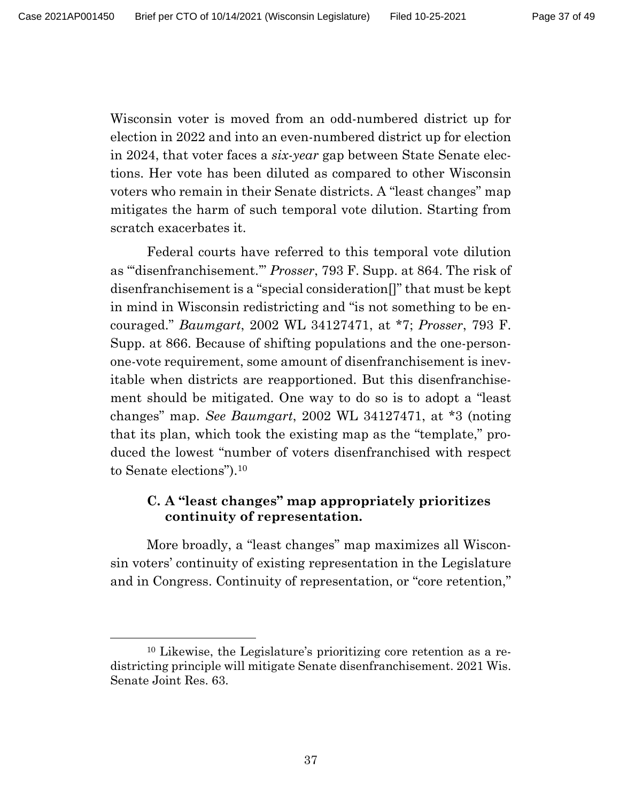Wisconsin voter is moved from an odd-numbered district up for election in 2022 and into an even-numbered district up for election in 2024, that voter faces a *six-year* gap between State Senate elections. Her vote has been diluted as compared to other Wisconsin voters who remain in their Senate districts. A "least changes" map mitigates the harm of such temporal vote dilution. Starting from scratch exacerbates it.

Federal courts have referred to this temporal vote dilution as "'disenfranchisement.'" *Prosser*, 793 F. Supp. at 864. The risk of disenfranchisement is a "special consideration[]" that must be kept in mind in Wisconsin redistricting and "is not something to be encouraged." *Baumgart*, 2002 WL 34127471, at \*7; *Prosser*, 793 F. Supp. at 866. Because of shifting populations and the one-personone-vote requirement, some amount of disenfranchisement is inevitable when districts are reapportioned. But this disenfranchisement should be mitigated. One way to do so is to adopt a "least changes" map. *See Baumgart*, 2002 WL 34127471, at \*3 (noting that its plan, which took the existing map as the "template," produced the lowest "number of voters disenfranchised with respect to Senate elections").<sup>10</sup>

## **C. A "least changes" map appropriately prioritizes continuity of representation.**

More broadly, a "least changes" map maximizes all Wisconsin voters' continuity of existing representation in the Legislature and in Congress. Continuity of representation, or "core retention,"

<sup>10</sup> Likewise, the Legislature's prioritizing core retention as a redistricting principle will mitigate Senate disenfranchisement. 2021 Wis. Senate Joint Res. 63.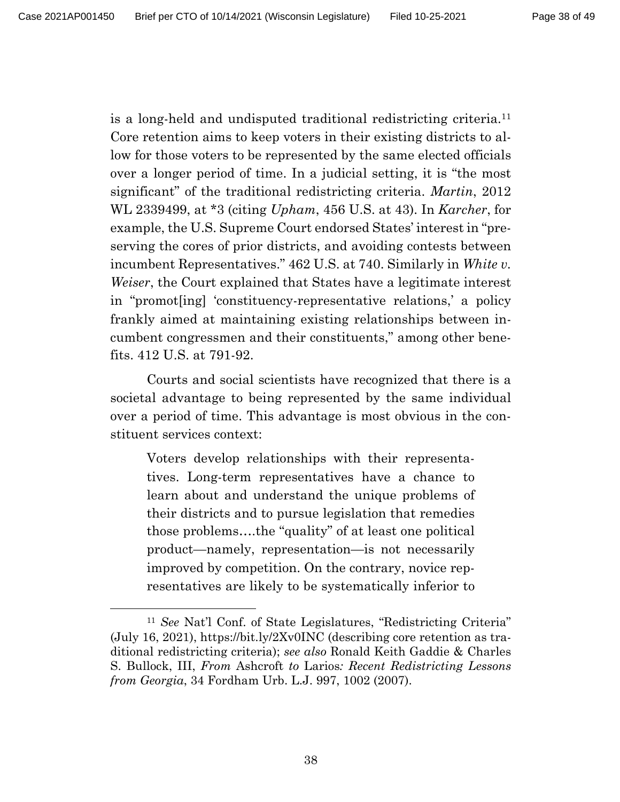is a long-held and undisputed traditional redistricting criteria.<sup>11</sup> Core retention aims to keep voters in their existing districts to allow for those voters to be represented by the same elected officials over a longer period of time. In a judicial setting, it is "the most significant" of the traditional redistricting criteria. *Martin*, 2012 WL 2339499, at \*3 (citing *Upham*, 456 U.S. at 43). In *Karcher*, for example, the U.S. Supreme Court endorsed States' interest in "preserving the cores of prior districts, and avoiding contests between incumbent Representatives." 462 U.S. at 740. Similarly in *White v. Weiser*, the Court explained that States have a legitimate interest in "promot[ing] 'constituency-representative relations,' a policy frankly aimed at maintaining existing relationships between incumbent congressmen and their constituents," among other benefits. 412 U.S. at 791-92.

Courts and social scientists have recognized that there is a societal advantage to being represented by the same individual over a period of time. This advantage is most obvious in the constituent services context:

Voters develop relationships with their representatives. Long-term representatives have a chance to learn about and understand the unique problems of their districts and to pursue legislation that remedies those problems….the "quality" of at least one political product—namely, representation—is not necessarily improved by competition. On the contrary, novice representatives are likely to be systematically inferior to

<sup>11</sup> *See* Nat'l Conf. of State Legislatures, "Redistricting Criteria" (July 16, 2021), https://bit.ly/2Xv0INC (describing core retention as traditional redistricting criteria); *see also* Ronald Keith Gaddie & Charles S. Bullock, III, *From* Ashcroft *to* Larios*: Recent Redistricting Lessons from Georgia*, 34 Fordham Urb. L.J. 997, 1002 (2007).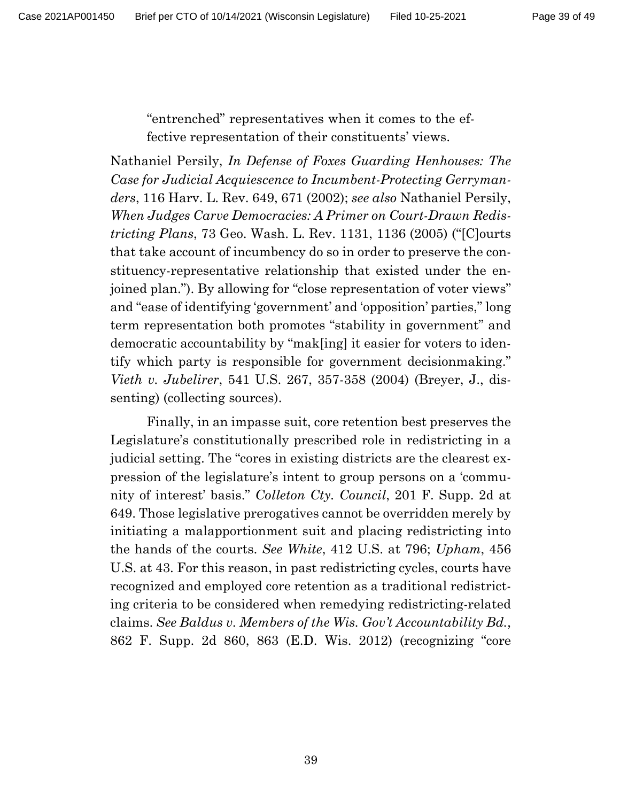"entrenched" representatives when it comes to the effective representation of their constituents' views.

Nathaniel Persily, *In Defense of Foxes Guarding Henhouses: The Case for Judicial Acquiescence to Incumbent-Protecting Gerrymanders*, 116 Harv. L. Rev. 649, 671 (2002); *see also* Nathaniel Persily, *When Judges Carve Democracies: A Primer on Court-Drawn Redistricting Plans*, 73 Geo. Wash. L. Rev. 1131, 1136 (2005) ("[C]ourts that take account of incumbency do so in order to preserve the constituency-representative relationship that existed under the enjoined plan."). By allowing for "close representation of voter views" and "ease of identifying 'government' and 'opposition' parties," long term representation both promotes "stability in government" and democratic accountability by "mak[ing] it easier for voters to identify which party is responsible for government decisionmaking." *Vieth v. Jubelirer*, 541 U.S. 267, 357-358 (2004) (Breyer, J., dissenting) (collecting sources).

Finally, in an impasse suit, core retention best preserves the Legislature's constitutionally prescribed role in redistricting in a judicial setting. The "cores in existing districts are the clearest expression of the legislature's intent to group persons on a 'community of interest' basis." *Colleton Cty. Council*, 201 F. Supp. 2d at 649. Those legislative prerogatives cannot be overridden merely by initiating a malapportionment suit and placing redistricting into the hands of the courts. *See White*, 412 U.S. at 796; *Upham*, 456 U.S. at 43. For this reason, in past redistricting cycles, courts have recognized and employed core retention as a traditional redistricting criteria to be considered when remedying redistricting-related claims. *See Baldus v. Members of the Wis. Gov't Accountability Bd.*, 862 F. Supp. 2d 860, 863 (E.D. Wis. 2012) (recognizing "core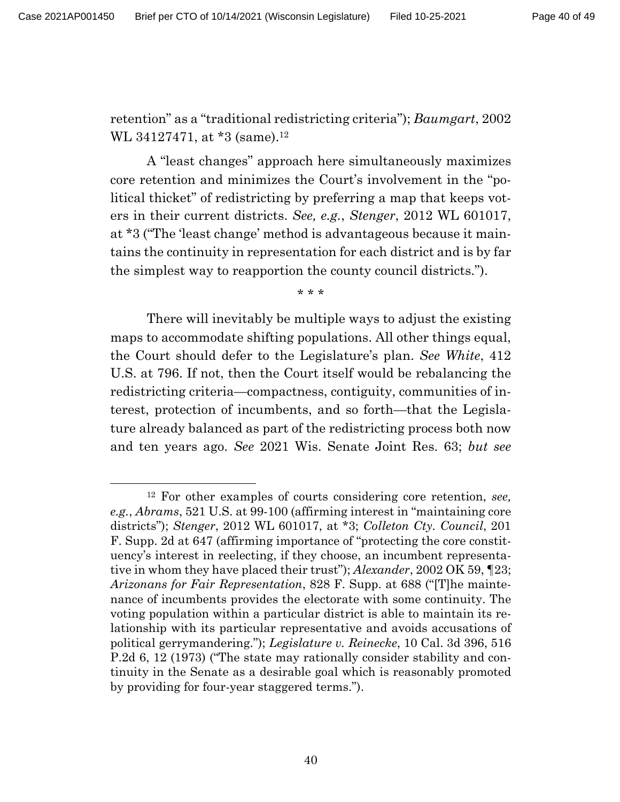retention" as a "traditional redistricting criteria"); *Baumgart*, 2002 WL 34127471, at \*3 (same).<sup>12</sup>

A "least changes" approach here simultaneously maximizes core retention and minimizes the Court's involvement in the "political thicket" of redistricting by preferring a map that keeps voters in their current districts. *See, e.g.*, *Stenger*, 2012 WL 601017, at \*3 ("The 'least change' method is advantageous because it maintains the continuity in representation for each district and is by far the simplest way to reapportion the county council districts.").

\* \* \*

There will inevitably be multiple ways to adjust the existing maps to accommodate shifting populations. All other things equal, the Court should defer to the Legislature's plan. *See White*, 412 U.S. at 796. If not, then the Court itself would be rebalancing the redistricting criteria—compactness, contiguity, communities of interest, protection of incumbents, and so forth—that the Legislature already balanced as part of the redistricting process both now and ten years ago. *See* 2021 Wis. Senate Joint Res. 63; *but see* 

<sup>12</sup> For other examples of courts considering core retention, *see, e.g.*, *Abrams*, 521 U.S. at 99-100 (affirming interest in "maintaining core districts"); *Stenger*, 2012 WL 601017, at \*3; *Colleton Cty. Council*, 201 F. Supp. 2d at 647 (affirming importance of "protecting the core constituency's interest in reelecting, if they choose, an incumbent representative in whom they have placed their trust"); *Alexander*, 2002 OK 59, ¶23; *Arizonans for Fair Representation*, 828 F. Supp. at 688 ("[T]he maintenance of incumbents provides the electorate with some continuity. The voting population within a particular district is able to maintain its relationship with its particular representative and avoids accusations of political gerrymandering."); *Legislature v. Reinecke*, 10 Cal. 3d 396, 516 P.2d 6, 12 (1973) ("The state may rationally consider stability and continuity in the Senate as a desirable goal which is reasonably promoted by providing for four-year staggered terms.").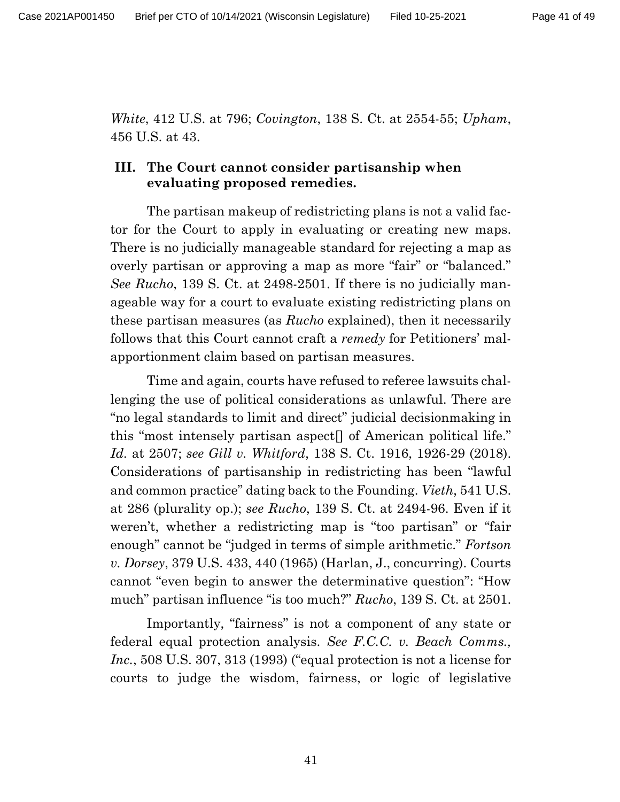*White*, 412 U.S. at 796; *Covington*, 138 S. Ct. at 2554-55; *Upham*, 456 U.S. at 43.

## **III. The Court cannot consider partisanship when evaluating proposed remedies.**

The partisan makeup of redistricting plans is not a valid factor for the Court to apply in evaluating or creating new maps. There is no judicially manageable standard for rejecting a map as overly partisan or approving a map as more "fair" or "balanced." *See Rucho*, 139 S. Ct. at 2498-2501. If there is no judicially manageable way for a court to evaluate existing redistricting plans on these partisan measures (as *Rucho* explained), then it necessarily follows that this Court cannot craft a *remedy* for Petitioners' malapportionment claim based on partisan measures.

Time and again, courts have refused to referee lawsuits challenging the use of political considerations as unlawful. There are "no legal standards to limit and direct" judicial decisionmaking in this "most intensely partisan aspect[] of American political life." *Id.* at 2507; *see Gill v. Whitford*, 138 S. Ct. 1916, 1926-29 (2018). Considerations of partisanship in redistricting has been "lawful and common practice" dating back to the Founding. *Vieth*, 541 U.S. at 286 (plurality op.); *see Rucho*, 139 S. Ct. at 2494-96. Even if it weren't, whether a redistricting map is "too partisan" or "fair enough" cannot be "judged in terms of simple arithmetic." *Fortson v. Dorsey*, 379 U.S. 433, 440 (1965) (Harlan, J., concurring). Courts cannot "even begin to answer the determinative question": "How much" partisan influence "is too much?" *Rucho*, 139 S. Ct. at 2501.

Importantly, "fairness" is not a component of any state or federal equal protection analysis. *See F.C.C. v. Beach Comms., Inc.*, 508 U.S. 307, 313 (1993) ("equal protection is not a license for courts to judge the wisdom, fairness, or logic of legislative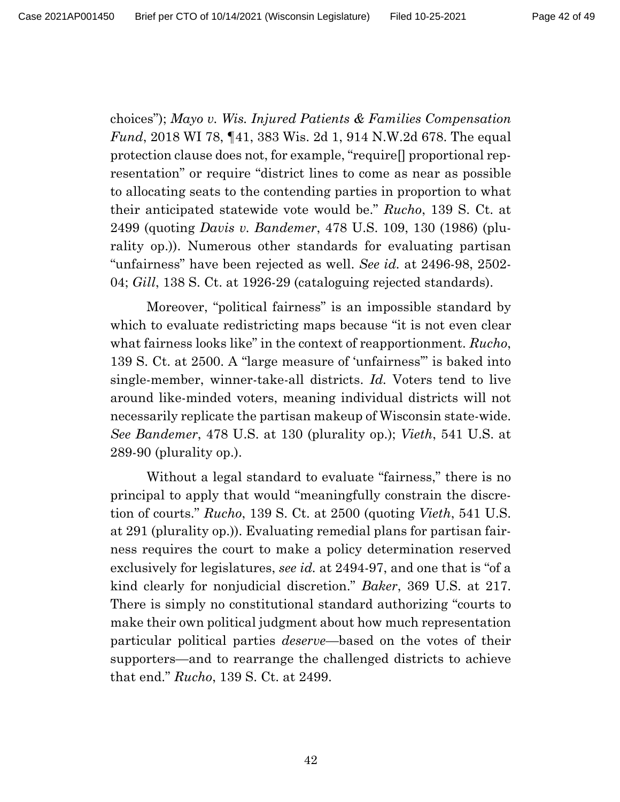choices"); *Mayo v. Wis. Injured Patients & Families Compensation Fund*, 2018 WI 78, ¶41, 383 Wis. 2d 1, 914 N.W.2d 678. The equal protection clause does not, for example, "require[] proportional representation" or require "district lines to come as near as possible to allocating seats to the contending parties in proportion to what their anticipated statewide vote would be." *Rucho*, 139 S. Ct. at 2499 (quoting *Davis v. Bandemer*, 478 U.S. 109, 130 (1986) (plurality op.)). Numerous other standards for evaluating partisan "unfairness" have been rejected as well. *See id.* at 2496-98, 2502- 04; *Gill*, 138 S. Ct. at 1926-29 (cataloguing rejected standards).

Moreover, "political fairness" is an impossible standard by which to evaluate redistricting maps because "it is not even clear what fairness looks like" in the context of reapportionment. *Rucho*, 139 S. Ct. at 2500. A "large measure of 'unfairness'" is baked into single-member, winner-take-all districts. *Id.* Voters tend to live around like-minded voters, meaning individual districts will not necessarily replicate the partisan makeup of Wisconsin state-wide. *See Bandemer*, 478 U.S. at 130 (plurality op.); *Vieth*, 541 U.S. at 289-90 (plurality op.).

Without a legal standard to evaluate "fairness," there is no principal to apply that would "meaningfully constrain the discretion of courts." *Rucho*, 139 S. Ct. at 2500 (quoting *Vieth*, 541 U.S. at 291 (plurality op.)). Evaluating remedial plans for partisan fairness requires the court to make a policy determination reserved exclusively for legislatures, *see id.* at 2494-97, and one that is "of a kind clearly for nonjudicial discretion." *Baker*, 369 U.S. at 217. There is simply no constitutional standard authorizing "courts to make their own political judgment about how much representation particular political parties *deserve*—based on the votes of their supporters—and to rearrange the challenged districts to achieve that end." *Rucho*, 139 S. Ct. at 2499.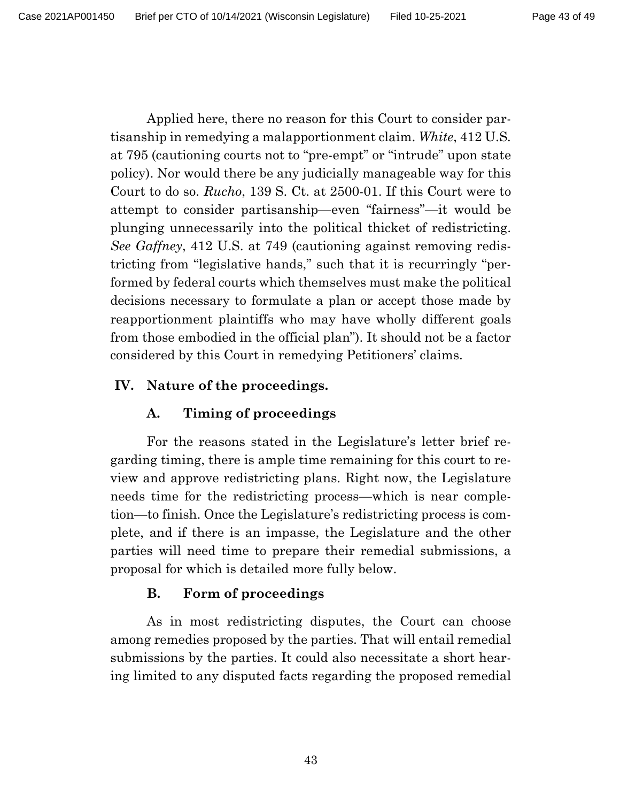Applied here, there no reason for this Court to consider partisanship in remedying a malapportionment claim. *White*, 412 U.S*.*  at 795 (cautioning courts not to "pre-empt" or "intrude" upon state policy). Nor would there be any judicially manageable way for this Court to do so. *Rucho*, 139 S. Ct. at 2500-01. If this Court were to attempt to consider partisanship—even "fairness"—it would be plunging unnecessarily into the political thicket of redistricting. *See Gaffney*, 412 U.S. at 749 (cautioning against removing redistricting from "legislative hands," such that it is recurringly "performed by federal courts which themselves must make the political decisions necessary to formulate a plan or accept those made by reapportionment plaintiffs who may have wholly different goals from those embodied in the official plan"). It should not be a factor considered by this Court in remedying Petitioners' claims.

## **IV. Nature of the proceedings.**

## **A. Timing of proceedings**

For the reasons stated in the Legislature's letter brief regarding timing, there is ample time remaining for this court to review and approve redistricting plans. Right now, the Legislature needs time for the redistricting process—which is near completion—to finish. Once the Legislature's redistricting process is complete, and if there is an impasse, the Legislature and the other parties will need time to prepare their remedial submissions, a proposal for which is detailed more fully below.

## **B. Form of proceedings**

As in most redistricting disputes, the Court can choose among remedies proposed by the parties. That will entail remedial submissions by the parties. It could also necessitate a short hearing limited to any disputed facts regarding the proposed remedial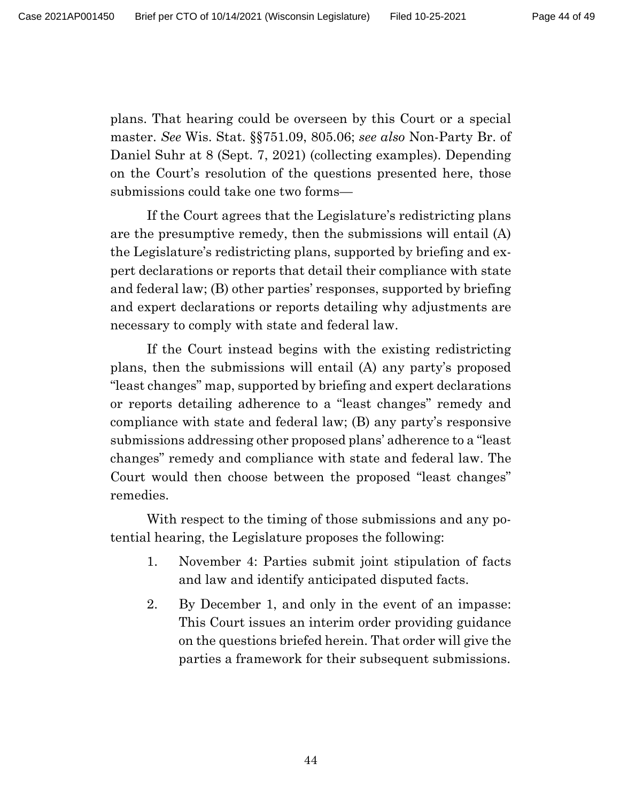plans. That hearing could be overseen by this Court or a special master. *See* Wis. Stat. §§751.09, 805.06; *see also* Non-Party Br. of Daniel Suhr at 8 (Sept. 7, 2021) (collecting examples). Depending on the Court's resolution of the questions presented here, those submissions could take one two forms—

If the Court agrees that the Legislature's redistricting plans are the presumptive remedy, then the submissions will entail (A) the Legislature's redistricting plans, supported by briefing and expert declarations or reports that detail their compliance with state and federal law; (B) other parties' responses, supported by briefing and expert declarations or reports detailing why adjustments are necessary to comply with state and federal law.

If the Court instead begins with the existing redistricting plans, then the submissions will entail (A) any party's proposed "least changes" map, supported by briefing and expert declarations or reports detailing adherence to a "least changes" remedy and compliance with state and federal law; (B) any party's responsive submissions addressing other proposed plans' adherence to a "least changes" remedy and compliance with state and federal law. The Court would then choose between the proposed "least changes" remedies.

With respect to the timing of those submissions and any potential hearing, the Legislature proposes the following:

- 1. November 4: Parties submit joint stipulation of facts and law and identify anticipated disputed facts.
- 2. By December 1, and only in the event of an impasse: This Court issues an interim order providing guidance on the questions briefed herein. That order will give the parties a framework for their subsequent submissions.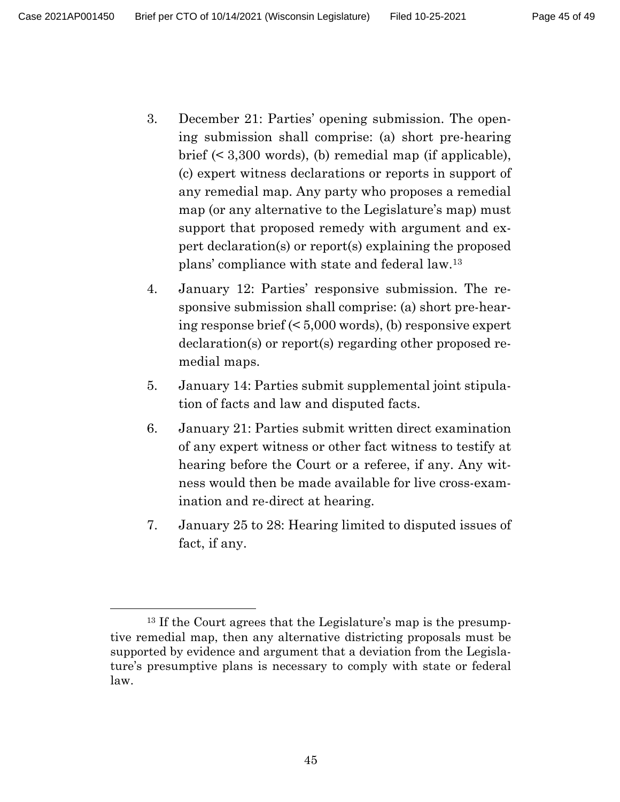- 3. December 21: Parties' opening submission. The opening submission shall comprise: (a) short pre-hearing brief (< 3,300 words), (b) remedial map (if applicable), (c) expert witness declarations or reports in support of any remedial map. Any party who proposes a remedial map (or any alternative to the Legislature's map) must support that proposed remedy with argument and expert declaration(s) or report(s) explaining the proposed plans' compliance with state and federal law.<sup>13</sup>
- 4. January 12: Parties' responsive submission. The responsive submission shall comprise: (a) short pre-hearing response brief (< 5,000 words), (b) responsive expert declaration(s) or report(s) regarding other proposed remedial maps.
- 5. January 14: Parties submit supplemental joint stipulation of facts and law and disputed facts.
- 6. January 21: Parties submit written direct examination of any expert witness or other fact witness to testify at hearing before the Court or a referee, if any. Any witness would then be made available for live cross-examination and re-direct at hearing.
- 7. January 25 to 28: Hearing limited to disputed issues of fact, if any.

<sup>13</sup> If the Court agrees that the Legislature's map is the presumptive remedial map, then any alternative districting proposals must be supported by evidence and argument that a deviation from the Legislature's presumptive plans is necessary to comply with state or federal law.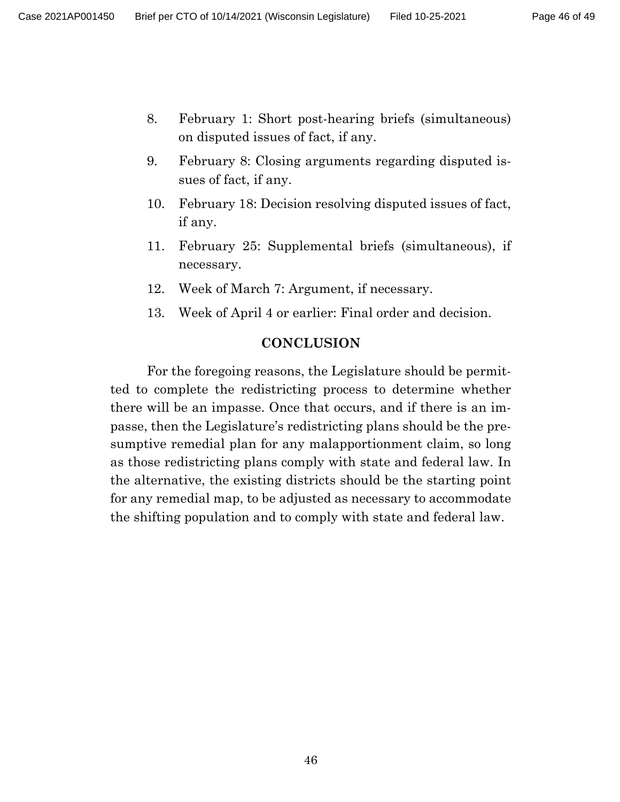- 8. February 1: Short post-hearing briefs (simultaneous) on disputed issues of fact, if any.
- 9. February 8: Closing arguments regarding disputed issues of fact, if any.
- 10. February 18: Decision resolving disputed issues of fact, if any.
- 11. February 25: Supplemental briefs (simultaneous), if necessary.
- 12. Week of March 7: Argument, if necessary.
- 13. Week of April 4 or earlier: Final order and decision.

### **CONCLUSION**

For the foregoing reasons, the Legislature should be permitted to complete the redistricting process to determine whether there will be an impasse. Once that occurs, and if there is an impasse, then the Legislature's redistricting plans should be the presumptive remedial plan for any malapportionment claim, so long as those redistricting plans comply with state and federal law. In the alternative, the existing districts should be the starting point for any remedial map, to be adjusted as necessary to accommodate the shifting population and to comply with state and federal law.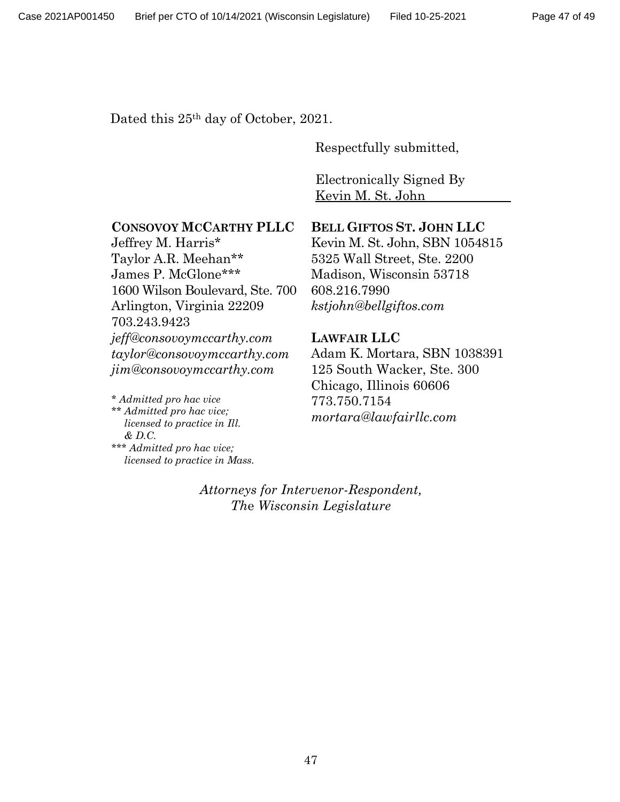Dated this  $25<sup>th</sup>$  day of October, 2021.

Respectfully submitted,

Electronically Signed By Kevin M. St. John

#### **CONSOVOY MCCARTHY PLLC**

Jeffrey M. Harris\* Taylor A.R. Meehan\*\* James P. McGlone\*\*\* 1600 Wilson Boulevard, Ste. 700 Arlington, Virginia 22209 703.243.9423 *jeff@consovoymccarthy.com taylor@consovoymccarthy.com jim@consovoymccarthy.com*

*\* Admitted pro hac vice \*\* Admitted pro hac vice; licensed to practice in Ill. & D.C. \*\*\* Admitted pro hac vice;*

*licensed to practice in Mass.*

#### **BELL GIFTOS ST. JOHN LLC**

Kevin M. St. John, SBN 1054815 5325 Wall Street, Ste. 2200 Madison, Wisconsin 53718 608.216.7990 *kstjohn@bellgiftos.com*

#### **LAWFAIR LLC**

Adam K. Mortara, SBN 1038391 125 South Wacker, Ste. 300 Chicago, Illinois 60606 773.750.7154 *mortara@lawfairllc.com*

### *Attorneys for Intervenor-Respondent, Th*e *Wisconsin Legislature*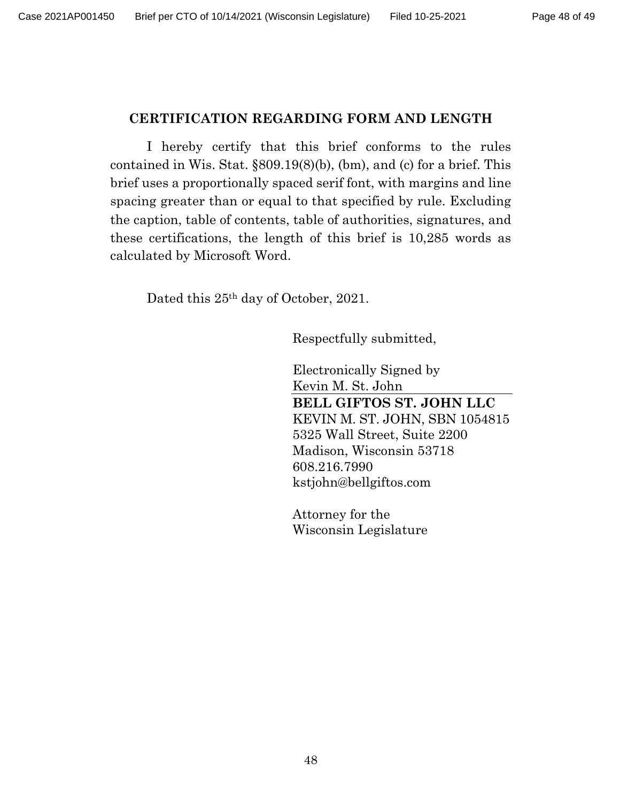### **CERTIFICATION REGARDING FORM AND LENGTH**

I hereby certify that this brief conforms to the rules contained in Wis. Stat. §809.19(8)(b), (bm), and (c) for a brief. This brief uses a proportionally spaced serif font, with margins and line spacing greater than or equal to that specified by rule. Excluding the caption, table of contents, table of authorities, signatures, and these certifications, the length of this brief is 10,285 words as calculated by Microsoft Word.

Dated this 25th day of October, 2021.

Respectfully submitted,

Electronically Signed by Kevin M. St. John **BELL GIFTOS ST. JOHN LLC** KEVIN M. ST. JOHN, SBN 1054815 5325 Wall Street, Suite 2200 Madison, Wisconsin 53718 608.216.7990 kstjohn@bellgiftos.com

Attorney for the Wisconsin Legislature